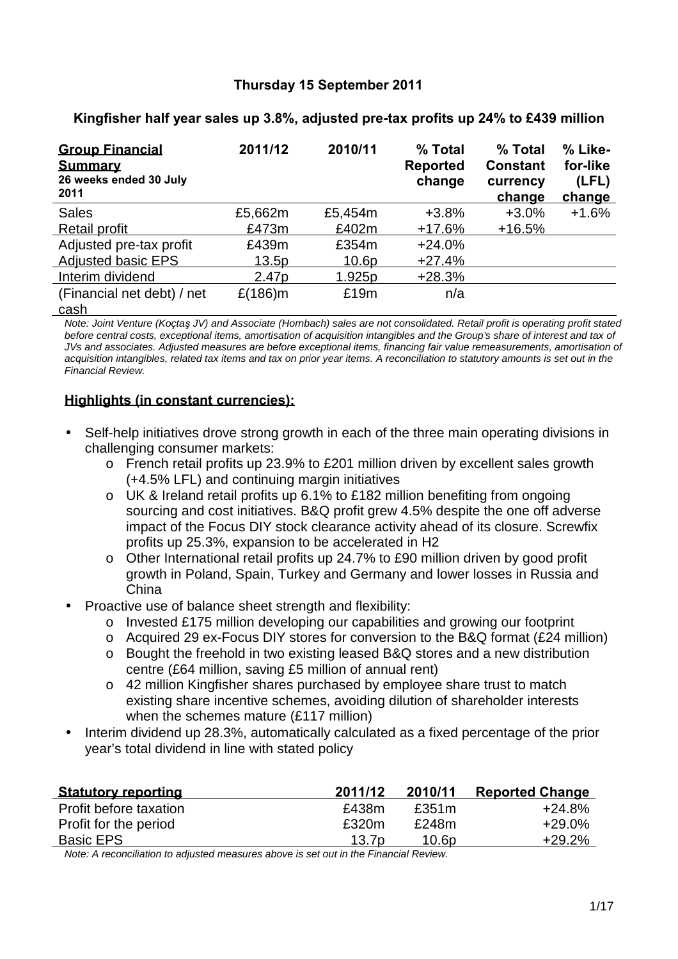# **Thursday 15 September 2011**

## **Kingfisher half year sales up 3.8%, adjusted pre-tax profits up 24% to £439 million**

| <b>Group Financial</b><br><b>Summary</b><br>26 weeks ended 30 July<br>2011 | 2011/12           | 2010/11 | % Total<br><b>Reported</b><br>change | % Total<br><b>Constant</b><br>currency<br>change | % Like-<br>for-like<br>(LEL)<br>change |
|----------------------------------------------------------------------------|-------------------|---------|--------------------------------------|--------------------------------------------------|----------------------------------------|
| <b>Sales</b>                                                               | £5,662m           | £5,454m | $+3.8%$                              | $+3.0%$                                          | $+1.6%$                                |
| Retail profit                                                              | £473m             | £402m   | $+17.6%$                             | $+16.5%$                                         |                                        |
| Adjusted pre-tax profit                                                    | £439m             | £354m   | $+24.0%$                             |                                                  |                                        |
| <b>Adjusted basic EPS</b>                                                  | 13.5p             | 10.6p   | $+27.4%$                             |                                                  |                                        |
| Interim dividend                                                           | 2.47 <sub>p</sub> | 1.925p  | $+28.3%$                             |                                                  |                                        |
| (Financial net debt) / net<br>cash                                         | £(186)m           | £19m    | n/a                                  |                                                  |                                        |

Note: Joint Venture (Koçtaş JV) and Associate (Hornbach) sales are not consolidated. Retail profit is operating profit stated before central costs, exceptional items, amortisation of acquisition intangibles and the Group's share of interest and tax of JVs and associates. Adjusted measures are before exceptional items, financing fair value remeasurements, amortisation of acquisition intangibles, related tax items and tax on prior year items. A reconciliation to statutory amounts is set out in the Financial Review.

## **Highlights (in constant currencies):**

- Self-help initiatives drove strong growth in each of the three main operating divisions in challenging consumer markets:
	- o French retail profits up 23.9% to £201 million driven by excellent sales growth (+4.5% LFL) and continuing margin initiatives
	- o UK & Ireland retail profits up 6.1% to £182 million benefiting from ongoing sourcing and cost initiatives. B&Q profit grew 4.5% despite the one off adverse impact of the Focus DIY stock clearance activity ahead of its closure. Screwfix profits up 25.3%, expansion to be accelerated in H2
	- o Other International retail profits up 24.7% to £90 million driven by good profit growth in Poland, Spain, Turkey and Germany and lower losses in Russia and China
- Proactive use of balance sheet strength and flexibility:
	- o Invested £175 million developing our capabilities and growing our footprint
	- o Acquired 29 ex-Focus DIY stores for conversion to the B&Q format (£24 million)
	- o Bought the freehold in two existing leased B&Q stores and a new distribution centre (£64 million, saving £5 million of annual rent)
	- o 42 million Kingfisher shares purchased by employee share trust to match existing share incentive schemes, avoiding dilution of shareholder interests when the schemes mature (£117 million)
- Interim dividend up 28.3%, automatically calculated as a fixed percentage of the prior year's total dividend in line with stated policy

| <b>Statutory reporting</b> | 2011/12           | 2010/11           | <b>Reported Change</b> |
|----------------------------|-------------------|-------------------|------------------------|
| Profit before taxation     | £438m             | £351 m            | +24.8%                 |
| Profit for the period      | £320m             | £248m             | +29.0%                 |
| <b>Basic EPS</b>           | 13.7 <sub>D</sub> | 10.6 <sub>p</sub> | +29.2%                 |

Note: A reconciliation to adjusted measures above is set out in the Financial Review.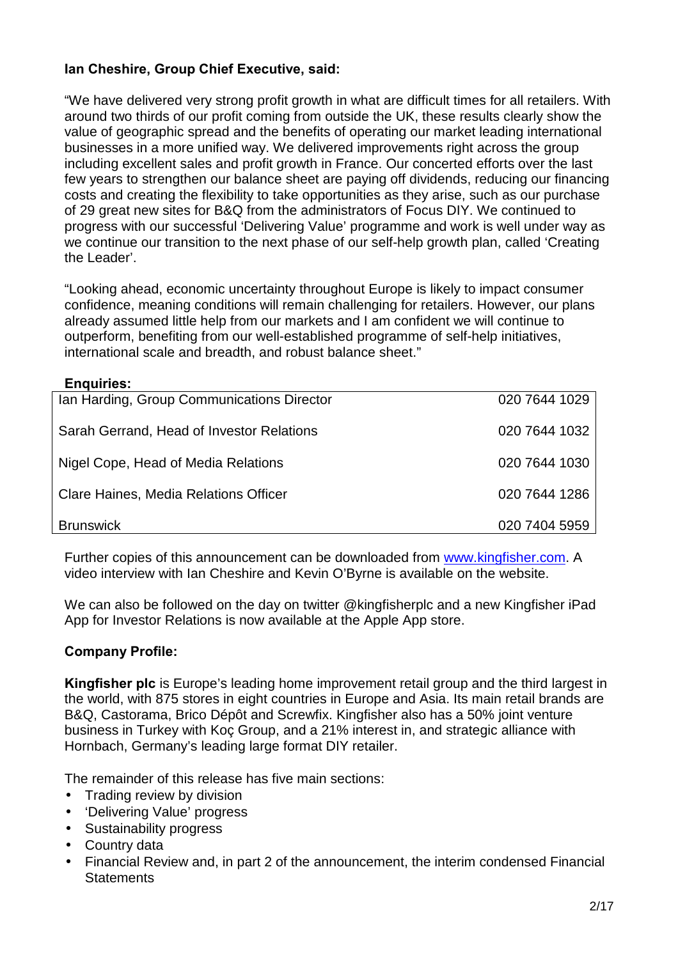# **Ian Cheshire, Group Chief Executive, said:**

"We have delivered very strong profit growth in what are difficult times for all retailers. With around two thirds of our profit coming from outside the UK, these results clearly show the value of geographic spread and the benefits of operating our market leading international businesses in a more unified way. We delivered improvements right across the group including excellent sales and profit growth in France. Our concerted efforts over the last few years to strengthen our balance sheet are paying off dividends, reducing our financing costs and creating the flexibility to take opportunities as they arise, such as our purchase of 29 great new sites for B&Q from the administrators of Focus DIY. We continued to progress with our successful 'Delivering Value' programme and work is well under way as we continue our transition to the next phase of our self-help growth plan, called 'Creating the Leader'.

"Looking ahead, economic uncertainty throughout Europe is likely to impact consumer confidence, meaning conditions will remain challenging for retailers. However, our plans already assumed little help from our markets and I am confident we will continue to outperform, benefiting from our well-established programme of self-help initiatives, international scale and breadth, and robust balance sheet."

## **Enquiries:**

| Ian Harding, Group Communications Director | 020 7644 1029 |
|--------------------------------------------|---------------|
| Sarah Gerrand, Head of Investor Relations  | 020 7644 1032 |
| Nigel Cope, Head of Media Relations        | 020 7644 1030 |
| Clare Haines, Media Relations Officer      | 020 7644 1286 |
| <b>Brunswick</b>                           | 020 7404 5959 |

Further copies of this announcement can be downloaded from www.kingfisher.com. A video interview with Ian Cheshire and Kevin O'Byrne is available on the website.

We can also be followed on the day on twitter @kingfisherplc and a new Kingfisher iPad App for Investor Relations is now available at the Apple App store.

# **Company Profile:**

**Kingfisher plc** is Europe's leading home improvement retail group and the third largest in the world, with 875 stores in eight countries in Europe and Asia. Its main retail brands are B&Q, Castorama, Brico Dépôt and Screwfix. Kingfisher also has a 50% joint venture business in Turkey with Koç Group, and a 21% interest in, and strategic alliance with Hornbach, Germany's leading large format DIY retailer.

The remainder of this release has five main sections:

- Trading review by division
- 'Delivering Value' progress
- Sustainability progress
- Country data
- Financial Review and, in part 2 of the announcement, the interim condensed Financial **Statements**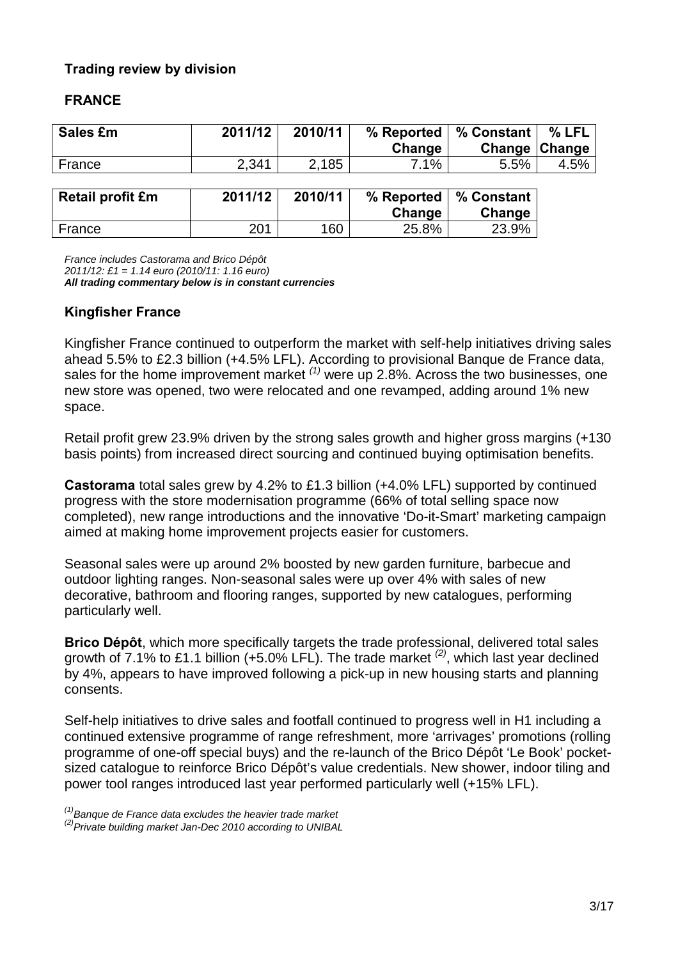# **Trading review by division**

## **FRANCE**

| Sales £m                | 2011/12 | 2010/11 | % Reported | % Constant | $%$ LFL       |
|-------------------------|---------|---------|------------|------------|---------------|
|                         |         |         | Change     | Change     | <b>Change</b> |
| France                  | 2,341   | 2,185   | 7.1%       | 5.5%       | 4.5%          |
|                         |         |         |            |            |               |
| <b>Retail profit £m</b> | 2011/12 | 2010/11 | % Reported | % Constant |               |
|                         |         |         | Change     | Change     |               |
| France                  | 201     | 160     | 25.8%      | 23.9%      |               |

France includes Castorama and Brico Dépôt

2011/12: £1 = 1.14 euro (2010/11: 1.16 euro)

**All trading commentary below is in constant currencies** 

## **Kingfisher France**

Kingfisher France continued to outperform the market with self-help initiatives driving sales ahead 5.5% to £2.3 billion (+4.5% LFL). According to provisional Banque de France data, sales for the home improvement market  $(1)$  were up 2.8%. Across the two businesses, one new store was opened, two were relocated and one revamped, adding around 1% new space.

Retail profit grew 23.9% driven by the strong sales growth and higher gross margins (+130 basis points) from increased direct sourcing and continued buying optimisation benefits.

**Castorama** total sales grew by 4.2% to £1.3 billion (+4.0% LFL) supported by continued progress with the store modernisation programme (66% of total selling space now completed), new range introductions and the innovative 'Do-it-Smart' marketing campaign aimed at making home improvement projects easier for customers.

Seasonal sales were up around 2% boosted by new garden furniture, barbecue and outdoor lighting ranges. Non-seasonal sales were up over 4% with sales of new decorative, bathroom and flooring ranges, supported by new catalogues, performing particularly well.

**Brico Dépôt**, which more specifically targets the trade professional, delivered total sales growth of 7.1% to £1.1 billion (+5.0% LFL). The trade market  $(2)$ , which last year declined by 4%, appears to have improved following a pick-up in new housing starts and planning consents.

Self-help initiatives to drive sales and footfall continued to progress well in H1 including a continued extensive programme of range refreshment, more 'arrivages' promotions (rolling programme of one-off special buys) and the re-launch of the Brico Dépôt 'Le Book' pocketsized catalogue to reinforce Brico Dépôt's value credentials. New shower, indoor tiling and power tool ranges introduced last year performed particularly well (+15% LFL).

 $<sup>(1)</sup>$ Banque de France data excludes the heavier trade market</sup>

 $^{(2)}$ Private building market Jan-Dec 2010 according to UNIBAL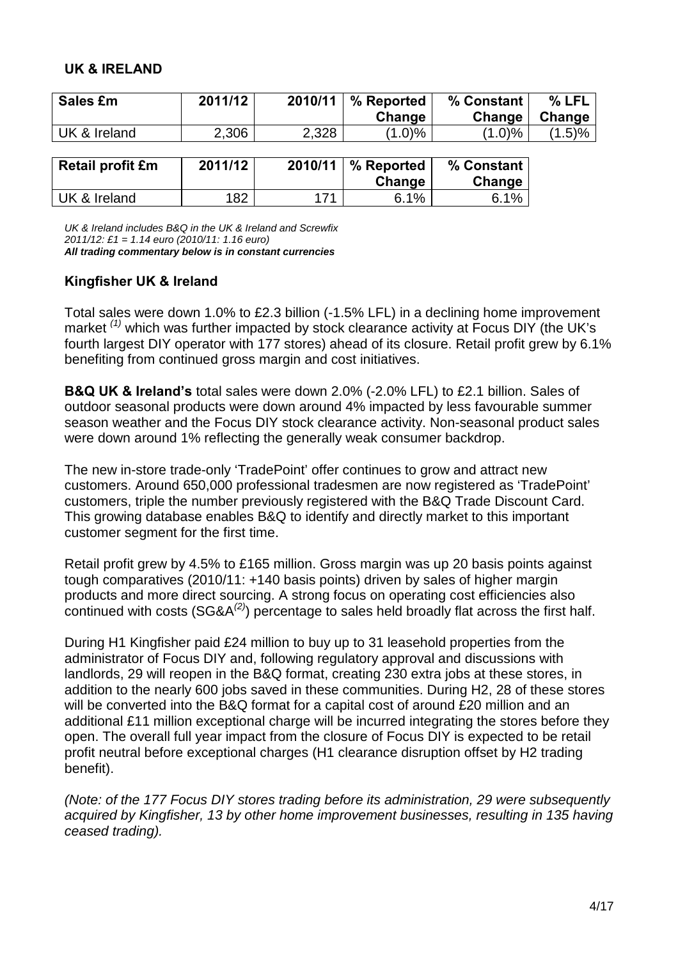## **UK & IRELAND**

| <b>Sales £m</b>  | 2011/12   | 2010/11   | % Reported<br>Change               | % Constant<br>Change | % LFL<br>Change |
|------------------|-----------|-----------|------------------------------------|----------------------|-----------------|
| UK & Ireland     | 2,306     | 2,328     | $(1.0)\%$                          | $(1.0)\%$            | $(1.5)\%$       |
|                  |           |           |                                    |                      |                 |
| Datail nuafit Cm | $3044142$ | $3040144$ | $0/$ D <sub>AMA</sub> $_{\rm rad}$ | $0/$ Conctant        |                 |

| <b>Retail profit £m</b> | 2011/12 | $2010/11$   % Reported<br>Change | % Constant $\mathsf I$<br>Change |
|-------------------------|---------|----------------------------------|----------------------------------|
| UK & Ireland            | 182     | 6.1%                             | 6.1%                             |

UK & Ireland includes B&Q in the UK & Ireland and Screwfix 2011/12: £1 = 1.14 euro (2010/11: 1.16 euro) **All trading commentary below is in constant currencies** 

## **Kingfisher UK & Ireland**

Total sales were down 1.0% to £2.3 billion (-1.5% LFL) in a declining home improvement market  $<sup>(1)</sup>$  which was further impacted by stock clearance activity at Focus DIY (the UK's</sup> fourth largest DIY operator with 177 stores) ahead of its closure. Retail profit grew by 6.1% benefiting from continued gross margin and cost initiatives.

**B&Q UK & Ireland's** total sales were down 2.0% (-2.0% LFL) to £2.1 billion. Sales of outdoor seasonal products were down around 4% impacted by less favourable summer season weather and the Focus DIY stock clearance activity. Non-seasonal product sales were down around 1% reflecting the generally weak consumer backdrop.

The new in-store trade-only 'TradePoint' offer continues to grow and attract new customers. Around 650,000 professional tradesmen are now registered as 'TradePoint' customers, triple the number previously registered with the B&Q Trade Discount Card. This growing database enables B&Q to identify and directly market to this important customer segment for the first time.

Retail profit grew by 4.5% to £165 million. Gross margin was up 20 basis points against tough comparatives (2010/11: +140 basis points) driven by sales of higher margin products and more direct sourcing. A strong focus on operating cost efficiencies also continued with costs  $(SG\&A^{(2)})$  percentage to sales held broadly flat across the first half.

During H1 Kingfisher paid £24 million to buy up to 31 leasehold properties from the administrator of Focus DIY and, following regulatory approval and discussions with landlords, 29 will reopen in the B&Q format, creating 230 extra jobs at these stores, in addition to the nearly 600 jobs saved in these communities. During H2, 28 of these stores will be converted into the B&Q format for a capital cost of around £20 million and an additional £11 million exceptional charge will be incurred integrating the stores before they open. The overall full year impact from the closure of Focus DIY is expected to be retail profit neutral before exceptional charges (H1 clearance disruption offset by H2 trading benefit).

(Note: of the 177 Focus DIY stores trading before its administration, 29 were subsequently acquired by Kingfisher, 13 by other home improvement businesses, resulting in 135 having ceased trading).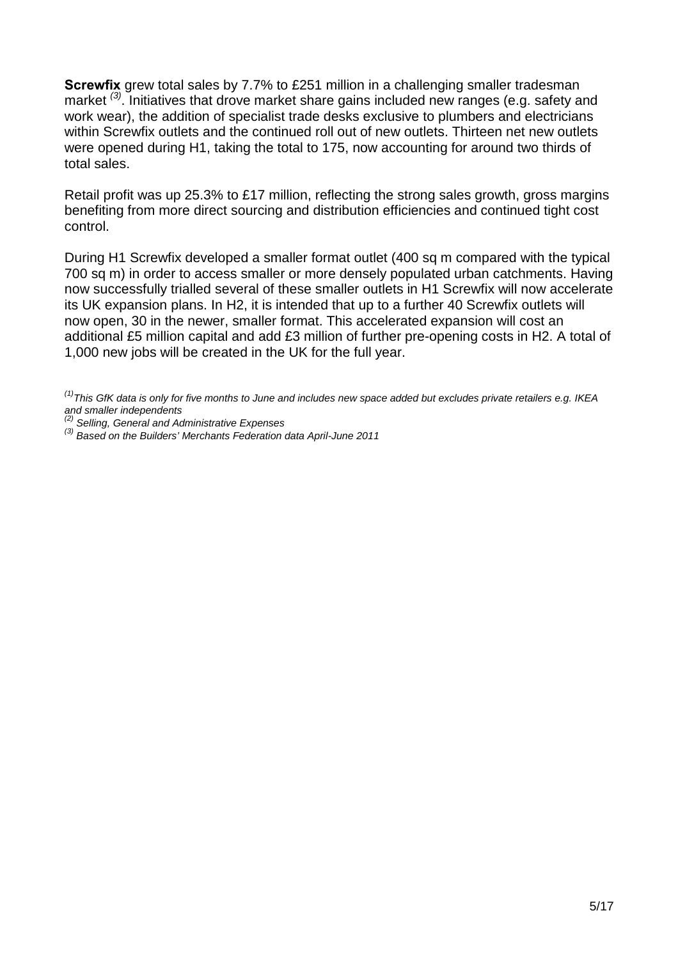**Screwfix** grew total sales by 7.7% to £251 million in a challenging smaller tradesman market  $(3)$ . Initiatives that drove market share gains included new ranges (e.g. safety and work wear), the addition of specialist trade desks exclusive to plumbers and electricians within Screwfix outlets and the continued roll out of new outlets. Thirteen net new outlets were opened during H1, taking the total to 175, now accounting for around two thirds of total sales.

Retail profit was up 25.3% to £17 million, reflecting the strong sales growth, gross margins benefiting from more direct sourcing and distribution efficiencies and continued tight cost control.

During H1 Screwfix developed a smaller format outlet (400 sq m compared with the typical 700 sq m) in order to access smaller or more densely populated urban catchments. Having now successfully trialled several of these smaller outlets in H1 Screwfix will now accelerate its UK expansion plans. In H2, it is intended that up to a further 40 Screwfix outlets will now open, 30 in the newer, smaller format. This accelerated expansion will cost an additional £5 million capital and add £3 million of further pre-opening costs in H2. A total of 1,000 new jobs will be created in the UK for the full year.

- Selling, General and Administrative Expenses
- (3) Based on the Builders' Merchants Federation data April-June 2011

 $^{(1)}$ This GfK data is only for five months to June and includes new space added but excludes private retailers e.g. IKEA and smaller independents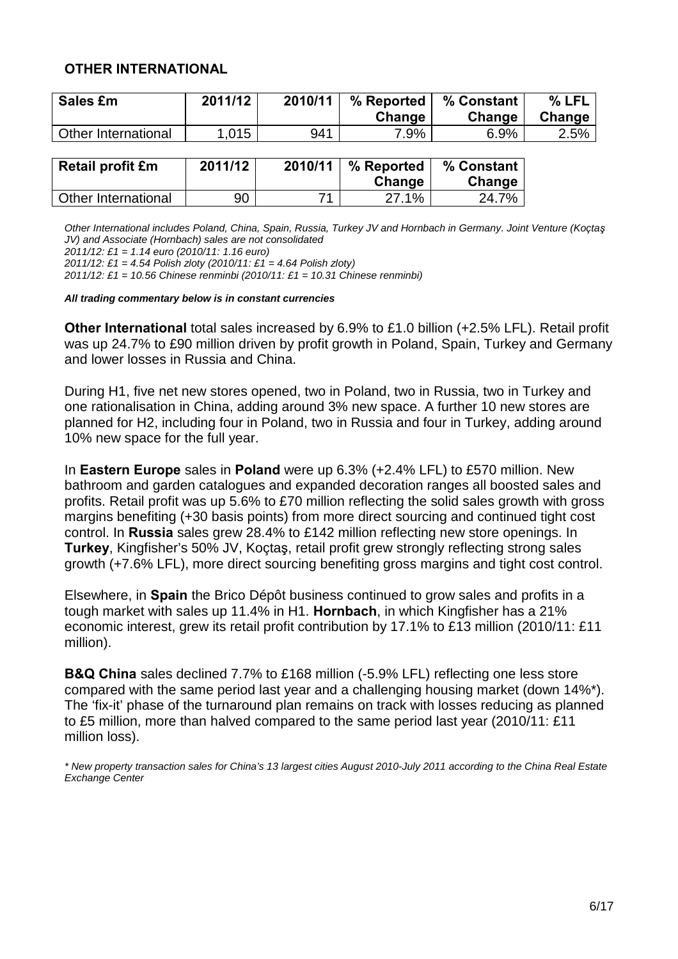## **OTHER INTERNATIONAL**

| Sales £m            | 2011/12 | 2010/11 | % Reported<br>Change | % Constant<br>Change | % LFL<br>Change |
|---------------------|---------|---------|----------------------|----------------------|-----------------|
| Other International | .015    | 941     | $7.9\%$              | 6.9%                 | 2.5%            |

| <b>Retail profit £m</b> | 2011/12 | 2010/11 | % Reported<br>Change | % Constant<br>Change |
|-------------------------|---------|---------|----------------------|----------------------|
| Other International     | 90      | 74      | 27.1%                | 24.7%                |

Other International includes Poland, China, Spain, Russia, Turkey JV and Hornbach in Germany. Joint Venture (Koçtaş JV) and Associate (Hornbach) sales are not consolidated

2011/12: £1 = 1.14 euro (2010/11: 1.16 euro)

2011/12: £1 = 4.54 Polish zloty (2010/11: £1 = 4.64 Polish zloty)

2011/12: £1 = 10.56 Chinese renminbi (2010/11: £1 = 10.31 Chinese renminbi)

### **All trading commentary below is in constant currencies**

**Other International** total sales increased by 6.9% to £1.0 billion (+2.5% LFL). Retail profit was up 24.7% to £90 million driven by profit growth in Poland, Spain, Turkey and Germany and lower losses in Russia and China.

During H1, five net new stores opened, two in Poland, two in Russia, two in Turkey and one rationalisation in China, adding around 3% new space. A further 10 new stores are planned for H2, including four in Poland, two in Russia and four in Turkey, adding around 10% new space for the full year.

In **Eastern Europe** sales in **Poland** were up 6.3% (+2.4% LFL) to £570 million. New bathroom and garden catalogues and expanded decoration ranges all boosted sales and profits. Retail profit was up 5.6% to £70 million reflecting the solid sales growth with gross margins benefiting (+30 basis points) from more direct sourcing and continued tight cost control. In **Russia** sales grew 28.4% to £142 million reflecting new store openings. In **Turkey**, Kingfisher's 50% JV, Koçtaş, retail profit grew strongly reflecting strong sales growth (+7.6% LFL), more direct sourcing benefiting gross margins and tight cost control.

Elsewhere, in **Spain** the Brico Dépôt business continued to grow sales and profits in a tough market with sales up 11.4% in H1. **Hornbach**, in which Kingfisher has a 21% economic interest, grew its retail profit contribution by 17.1% to £13 million (2010/11: £11 million).

**B&Q China** sales declined 7.7% to £168 million (-5.9% LFL) reflecting one less store compared with the same period last year and a challenging housing market (down 14%\*). The 'fix-it' phase of the turnaround plan remains on track with losses reducing as planned to £5 million, more than halved compared to the same period last year (2010/11: £11 million loss).

\* New property transaction sales for China's 13 largest cities August 2010-July 2011 according to the China Real Estate Exchange Center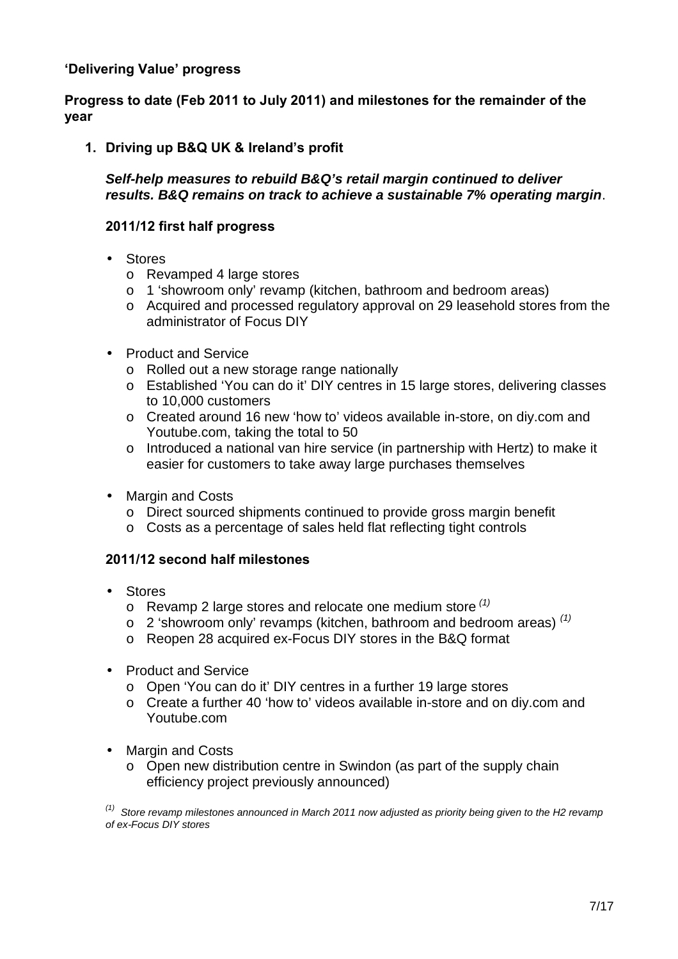## **'Delivering Value' progress**

**Progress to date (Feb 2011 to July 2011) and milestones for the remainder of the year**

## **1. Driving up B&Q UK & Ireland's profit**

**Self-help measures to rebuild B&Q's retail margin continued to deliver results. B&Q remains on track to achieve a sustainable 7% operating margin**.

## **2011/12 first half progress**

- Stores
	- o Revamped 4 large stores
	- o 1 'showroom only' revamp (kitchen, bathroom and bedroom areas)
	- o Acquired and processed regulatory approval on 29 leasehold stores from the administrator of Focus DIY
- Product and Service
	- o Rolled out a new storage range nationally
	- o Established 'You can do it' DIY centres in 15 large stores, delivering classes to 10,000 customers
	- o Created around 16 new 'how to' videos available in-store, on diy.com and Youtube.com, taking the total to 50
	- o Introduced a national van hire service (in partnership with Hertz) to make it easier for customers to take away large purchases themselves
- Margin and Costs
	- o Direct sourced shipments continued to provide gross margin benefit
	- o Costs as a percentage of sales held flat reflecting tight controls

## **2011/12 second half milestones**

- Stores
	- $\circ$  Revamp 2 large stores and relocate one medium store  $(1)$
	- $\circ$  2 'showroom only' revamps (kitchen, bathroom and bedroom areas)<sup>(1)</sup>
	- o Reopen 28 acquired ex-Focus DIY stores in the B&Q format
- Product and Service
	- o Open 'You can do it' DIY centres in a further 19 large stores
	- o Create a further 40 'how to' videos available in-store and on diy.com and Youtube.com
- Margin and Costs
	- o Open new distribution centre in Swindon (as part of the supply chain efficiency project previously announced)

 $(1)$  Store revamp milestones announced in March 2011 now adjusted as priority being given to the H2 revamp of ex-Focus DIY stores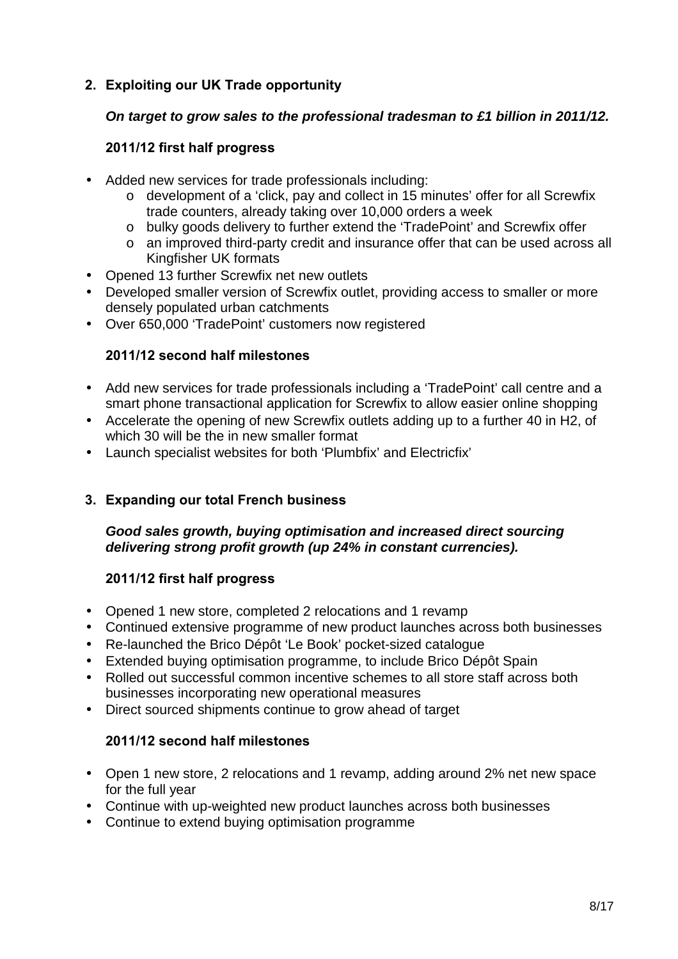# **2. Exploiting our UK Trade opportunity**

# **On target to grow sales to the professional tradesman to £1 billion in 2011/12.**

# **2011/12 first half progress**

- Added new services for trade professionals including:
	- o development of a 'click, pay and collect in 15 minutes' offer for all Screwfix trade counters, already taking over 10,000 orders a week
	- o bulky goods delivery to further extend the 'TradePoint' and Screwfix offer
	- o an improved third-party credit and insurance offer that can be used across all Kingfisher UK formats
- Opened 13 further Screwfix net new outlets
- Developed smaller version of Screwfix outlet, providing access to smaller or more densely populated urban catchments
- Over 650,000 'TradePoint' customers now registered

# **2011/12 second half milestones**

- Add new services for trade professionals including a 'TradePoint' call centre and a smart phone transactional application for Screwfix to allow easier online shopping
- Accelerate the opening of new Screwfix outlets adding up to a further 40 in H2, of which 30 will be the in new smaller format
- Launch specialist websites for both 'Plumbfix' and Electricfix'

# **3. Expanding our total French business**

## **Good sales growth, buying optimisation and increased direct sourcing delivering strong profit growth (up 24% in constant currencies).**

# **2011/12 first half progress**

- Opened 1 new store, completed 2 relocations and 1 revamp
- Continued extensive programme of new product launches across both businesses
- Re-launched the Brico Dépôt 'Le Book' pocket-sized catalogue
- Extended buying optimisation programme, to include Brico Dépôt Spain
- Rolled out successful common incentive schemes to all store staff across both businesses incorporating new operational measures
- Direct sourced shipments continue to grow ahead of target

# **2011/12 second half milestones**

- Open 1 new store, 2 relocations and 1 revamp, adding around 2% net new space for the full year
- Continue with up-weighted new product launches across both businesses
- Continue to extend buying optimisation programme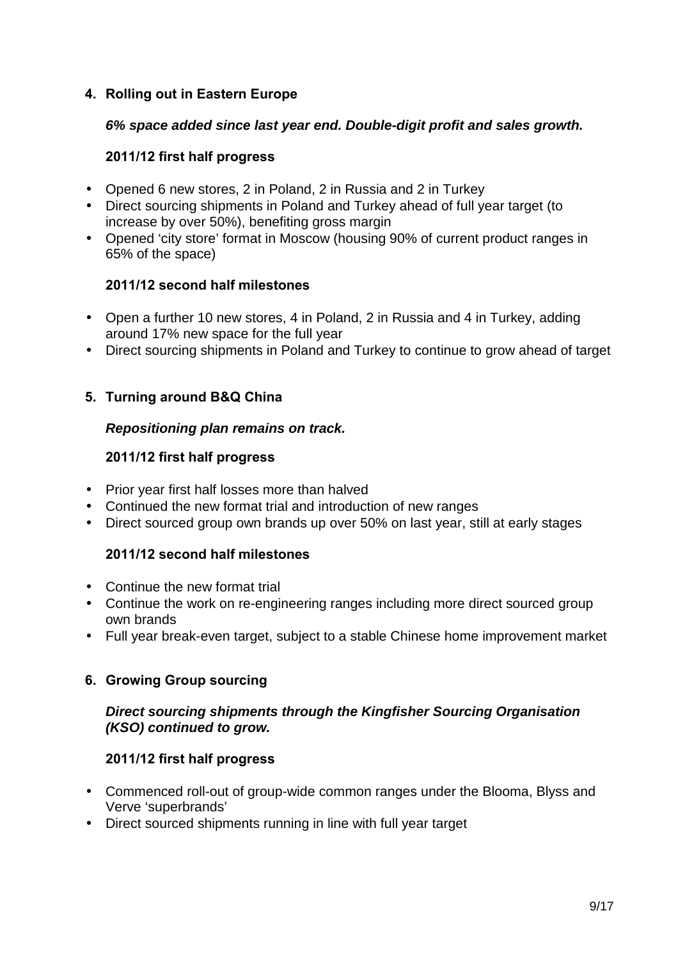# **4. Rolling out in Eastern Europe**

## **6% space added since last year end. Double-digit profit and sales growth.**

## **2011/12 first half progress**

- Opened 6 new stores, 2 in Poland, 2 in Russia and 2 in Turkey
- Direct sourcing shipments in Poland and Turkey ahead of full year target (to increase by over 50%), benefiting gross margin
- Opened 'city store' format in Moscow (housing 90% of current product ranges in 65% of the space)

## **2011/12 second half milestones**

- Open a further 10 new stores, 4 in Poland, 2 in Russia and 4 in Turkey, adding around 17% new space for the full year
- Direct sourcing shipments in Poland and Turkey to continue to grow ahead of target

# **5. Turning around B&Q China**

## **Repositioning plan remains on track.**

## **2011/12 first half progress**

- Prior year first half losses more than halved
- Continued the new format trial and introduction of new ranges
- Direct sourced group own brands up over 50% on last year, still at early stages

# **2011/12 second half milestones**

- Continue the new format trial
- Continue the work on re-engineering ranges including more direct sourced group own brands
- Full year break-even target, subject to a stable Chinese home improvement market

# **6. Growing Group sourcing**

## **Direct sourcing shipments through the Kingfisher Sourcing Organisation (KSO) continued to grow.**

# **2011/12 first half progress**

- Commenced roll-out of group-wide common ranges under the Blooma, Blyss and Verve 'superbrands'
- Direct sourced shipments running in line with full year target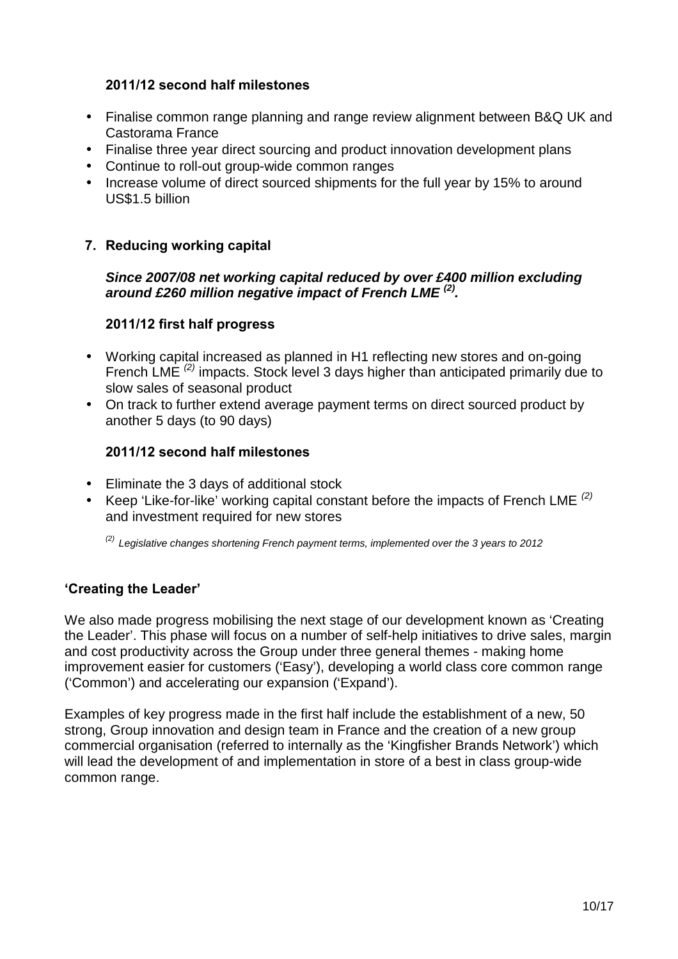# **2011/12 second half milestones**

- Finalise common range planning and range review alignment between B&Q UK and Castorama France
- Finalise three year direct sourcing and product innovation development plans
- Continue to roll-out group-wide common ranges
- Increase volume of direct sourced shipments for the full year by 15% to around US\$1.5 billion

# **7. Reducing working capital**

# **Since 2007/08 net working capital reduced by over £400 million excluding around £260 million negative impact of French LME (2) .**

# **2011/12 first half progress**

- Working capital increased as planned in H1 reflecting new stores and on-going French LME<sup>(2)</sup> impacts. Stock level 3 days higher than anticipated primarily due to slow sales of seasonal product
- On track to further extend average payment terms on direct sourced product by another 5 days (to 90 days)

# **2011/12 second half milestones**

- Eliminate the 3 days of additional stock
- Keep 'Like-for-like' working capital constant before the impacts of French LME  $(2)$ and investment required for new stores

 $^{(2)}$  Legislative changes shortening French payment terms, implemented over the 3 years to 2012

# **'Creating the Leader'**

We also made progress mobilising the next stage of our development known as 'Creating the Leader'. This phase will focus on a number of self-help initiatives to drive sales, margin and cost productivity across the Group under three general themes - making home improvement easier for customers ('Easy'), developing a world class core common range ('Common') and accelerating our expansion ('Expand').

Examples of key progress made in the first half include the establishment of a new, 50 strong, Group innovation and design team in France and the creation of a new group commercial organisation (referred to internally as the 'Kingfisher Brands Network') which will lead the development of and implementation in store of a best in class group-wide common range.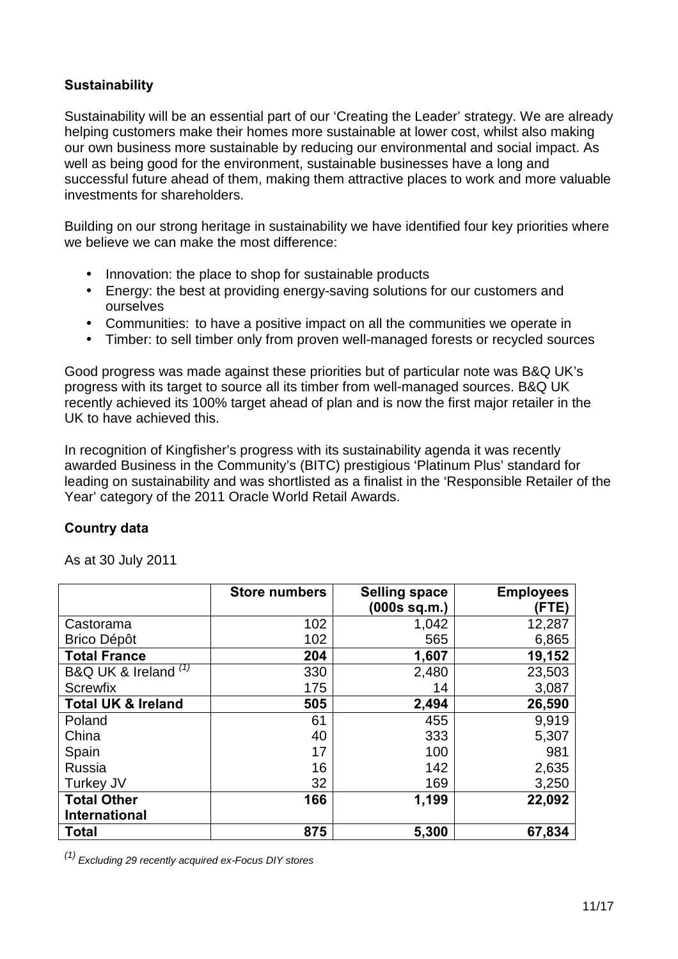# **Sustainability**

Sustainability will be an essential part of our 'Creating the Leader' strategy. We are already helping customers make their homes more sustainable at lower cost, whilst also making our own business more sustainable by reducing our environmental and social impact. As well as being good for the environment, sustainable businesses have a long and successful future ahead of them, making them attractive places to work and more valuable investments for shareholders.

Building on our strong heritage in sustainability we have identified four key priorities where we believe we can make the most difference:

- Innovation: the place to shop for sustainable products
- Energy: the best at providing energy-saving solutions for our customers and ourselves
- Communities: to have a positive impact on all the communities we operate in
- Timber: to sell timber only from proven well-managed forests or recycled sources

Good progress was made against these priorities but of particular note was B&Q UK's progress with its target to source all its timber from well-managed sources. B&Q UK recently achieved its 100% target ahead of plan and is now the first major retailer in the UK to have achieved this.

In recognition of Kingfisher's progress with its sustainability agenda it was recently awarded Business in the Community's (BITC) prestigious 'Platinum Plus' standard for leading on sustainability and was shortlisted as a finalist in the 'Responsible Retailer of the Year' category of the 2011 Oracle World Retail Awards.

# **Country data**

As at 30 July 2011

|                               | <b>Store numbers</b> | <b>Selling space</b> | <b>Employees</b> |
|-------------------------------|----------------------|----------------------|------------------|
|                               |                      | (000s sq.m.)         | (FTE)            |
| Castorama                     | 102                  | 1,042                | 12,287           |
| <b>Brico Dépôt</b>            | 102                  | 565                  | 6,865            |
| <b>Total France</b>           | 204                  | 1,607                | 19,152           |
| B&Q UK & Ireland $(1)$        | 330                  | 2,480                | 23,503           |
| <b>Screwfix</b>               | 175                  | 14                   | 3,087            |
| <b>Total UK &amp; Ireland</b> | 505                  | 2,494                | 26,590           |
| Poland                        | 61                   | 455                  | 9,919            |
| China                         | 40                   | 333                  | 5,307            |
| Spain                         | 17                   | 100                  | 981              |
| Russia                        | 16                   | 142                  | 2,635            |
| Turkey JV                     | 32                   | 169                  | 3,250            |
| <b>Total Other</b>            | 166                  | 1,199                | 22,092           |
| <b>International</b>          |                      |                      |                  |
| <b>Total</b>                  | 875                  | 5,300                | 67,834           |

 $(1)$  Excluding 29 recently acquired ex-Focus DIY stores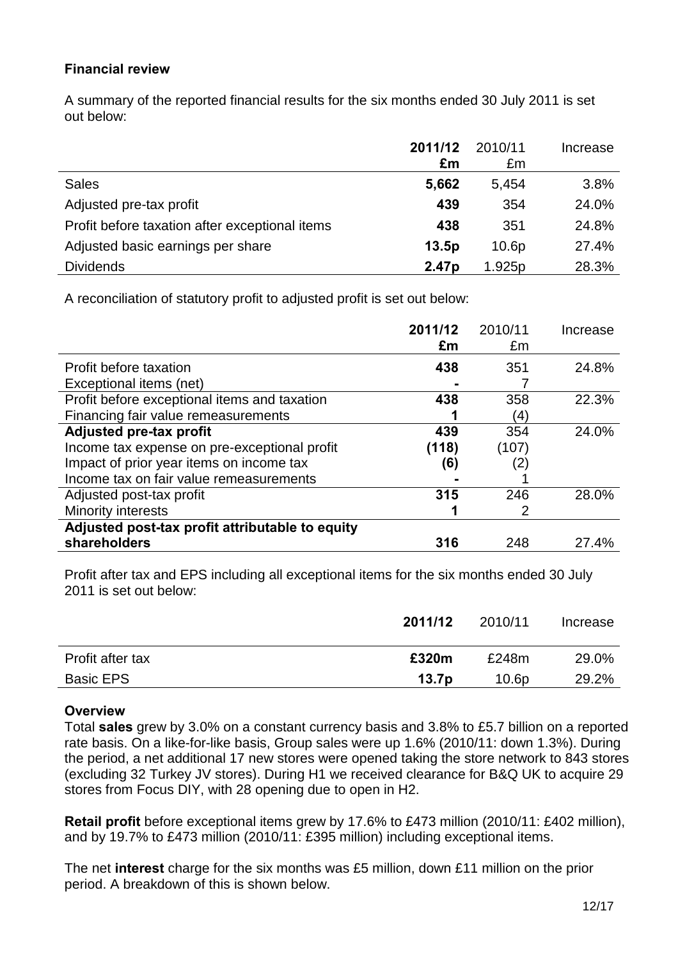## **Financial review**

A summary of the reported financial results for the six months ended 30 July 2011 is set out below:

|                                                | 2011/12<br>£m | 2010/11<br>£m     | Increase |
|------------------------------------------------|---------------|-------------------|----------|
| <b>Sales</b>                                   | 5,662         | 5.454             | 3.8%     |
| Adjusted pre-tax profit                        | 439           | 354               | 24.0%    |
| Profit before taxation after exceptional items | 438           | 351               | 24.8%    |
| Adjusted basic earnings per share              | 13.5p         | 10.6 <sub>p</sub> | 27.4%    |
| <b>Dividends</b>                               | 2.47p         | 1.925p            | 28.3%    |

A reconciliation of statutory profit to adjusted profit is set out below:

|                                                 | 2011/12<br>£m | 2010/11<br>£m     | Increase |
|-------------------------------------------------|---------------|-------------------|----------|
| Profit before taxation                          | 438           | 351               | 24.8%    |
| Exceptional items (net)                         |               |                   |          |
| Profit before exceptional items and taxation    | 438           | 358               | 22.3%    |
| Financing fair value remeasurements             | 1             | $\left( 4\right)$ |          |
| Adjusted pre-tax profit                         | 439           | 354               | 24.0%    |
| Income tax expense on pre-exceptional profit    | (118)         | (107)             |          |
| Impact of prior year items on income tax        | (6)           | (2)               |          |
| Income tax on fair value remeasurements         |               |                   |          |
| Adjusted post-tax profit                        | 315           | 246               | 28.0%    |
| Minority interests                              |               | 2                 |          |
| Adjusted post-tax profit attributable to equity |               |                   |          |
| shareholders                                    | 316           | 248               | 27.4%    |

Profit after tax and EPS including all exceptional items for the six months ended 30 July 2011 is set out below:

|                  | 2011/12 | 2010/11           | Increase |
|------------------|---------|-------------------|----------|
| Profit after tax | £320m   | £248m             | 29.0%    |
| <b>Basic EPS</b> | 13.7p   | 10.6 <sub>p</sub> | 29.2%    |

## **Overview**

Total **sales** grew by 3.0% on a constant currency basis and 3.8% to £5.7 billion on a reported rate basis. On a like-for-like basis, Group sales were up 1.6% (2010/11: down 1.3%). During the period, a net additional 17 new stores were opened taking the store network to 843 stores (excluding 32 Turkey JV stores). During H1 we received clearance for B&Q UK to acquire 29 stores from Focus DIY, with 28 opening due to open in H2.

**Retail profit** before exceptional items grew by 17.6% to £473 million (2010/11: £402 million), and by 19.7% to £473 million (2010/11: £395 million) including exceptional items.

The net **interest** charge for the six months was £5 million, down £11 million on the prior period. A breakdown of this is shown below.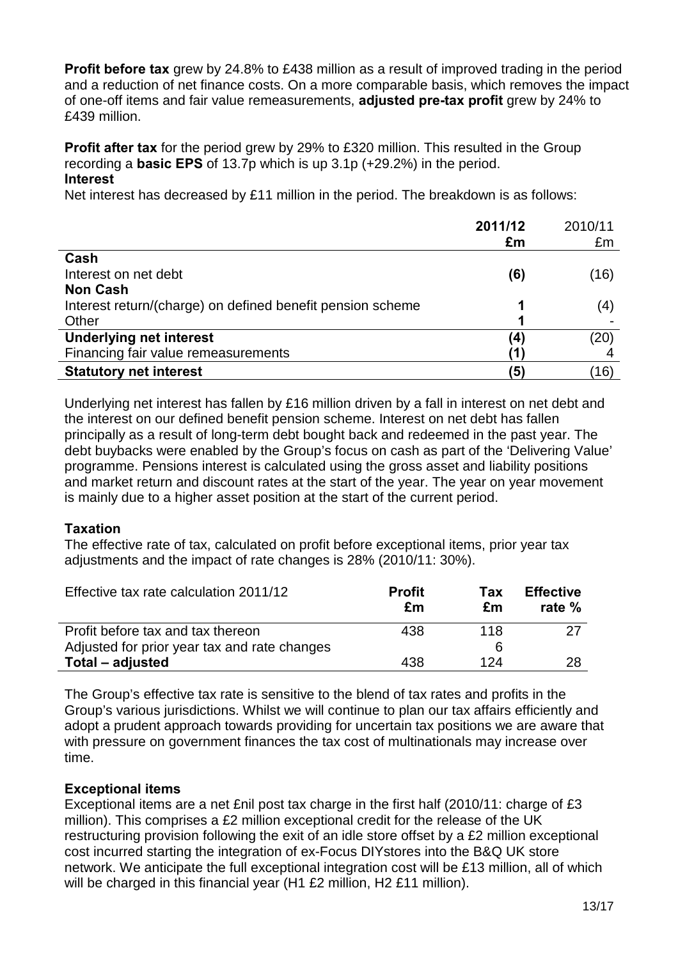**Profit before tax** grew by 24.8% to £438 million as a result of improved trading in the period and a reduction of net finance costs. On a more comparable basis, which removes the impact of one-off items and fair value remeasurements, **adjusted pre-tax profit** grew by 24% to £439 million.

**Profit after tax** for the period grew by 29% to £320 million. This resulted in the Group recording a **basic EPS** of 13.7p which is up 3.1p (+29.2%) in the period. **Interest** 

Net interest has decreased by £11 million in the period. The breakdown is as follows:

|                                                            | 2011/12<br>£m | 2010/11<br>£m |
|------------------------------------------------------------|---------------|---------------|
| Cash                                                       |               |               |
| Interest on net debt                                       | (6)           | (16)          |
| <b>Non Cash</b>                                            |               |               |
| Interest return/(charge) on defined benefit pension scheme | 1             | (4)           |
| Other                                                      |               |               |
| <b>Underlying net interest</b>                             | (4)           | (20)          |
| Financing fair value remeasurements                        |               |               |
| <b>Statutory net interest</b>                              | (5)           | (16)          |

Underlying net interest has fallen by £16 million driven by a fall in interest on net debt and the interest on our defined benefit pension scheme. Interest on net debt has fallen principally as a result of long-term debt bought back and redeemed in the past year. The debt buybacks were enabled by the Group's focus on cash as part of the 'Delivering Value' programme. Pensions interest is calculated using the gross asset and liability positions and market return and discount rates at the start of the year. The year on year movement is mainly due to a higher asset position at the start of the current period.

# **Taxation**

The effective rate of tax, calculated on profit before exceptional items, prior year tax adjustments and the impact of rate changes is 28% (2010/11: 30%).

| Effective tax rate calculation 2011/12       | <b>Profit</b><br>£m | Tax<br>£m | <b>Effective</b><br>rate % |
|----------------------------------------------|---------------------|-----------|----------------------------|
| Profit before tax and tax thereon            | 438                 | 118       | 27                         |
| Adjusted for prior year tax and rate changes |                     | 6         |                            |
| Total – adjusted                             | 438                 | 124       | 28                         |

The Group's effective tax rate is sensitive to the blend of tax rates and profits in the Group's various jurisdictions. Whilst we will continue to plan our tax affairs efficiently and adopt a prudent approach towards providing for uncertain tax positions we are aware that with pressure on government finances the tax cost of multinationals may increase over time.

# **Exceptional items**

Exceptional items are a net £nil post tax charge in the first half (2010/11: charge of £3 million). This comprises a £2 million exceptional credit for the release of the UK restructuring provision following the exit of an idle store offset by a £2 million exceptional cost incurred starting the integration of ex-Focus DIYstores into the B&Q UK store network. We anticipate the full exceptional integration cost will be £13 million, all of which will be charged in this financial year (H1 £2 million, H2 £11 million).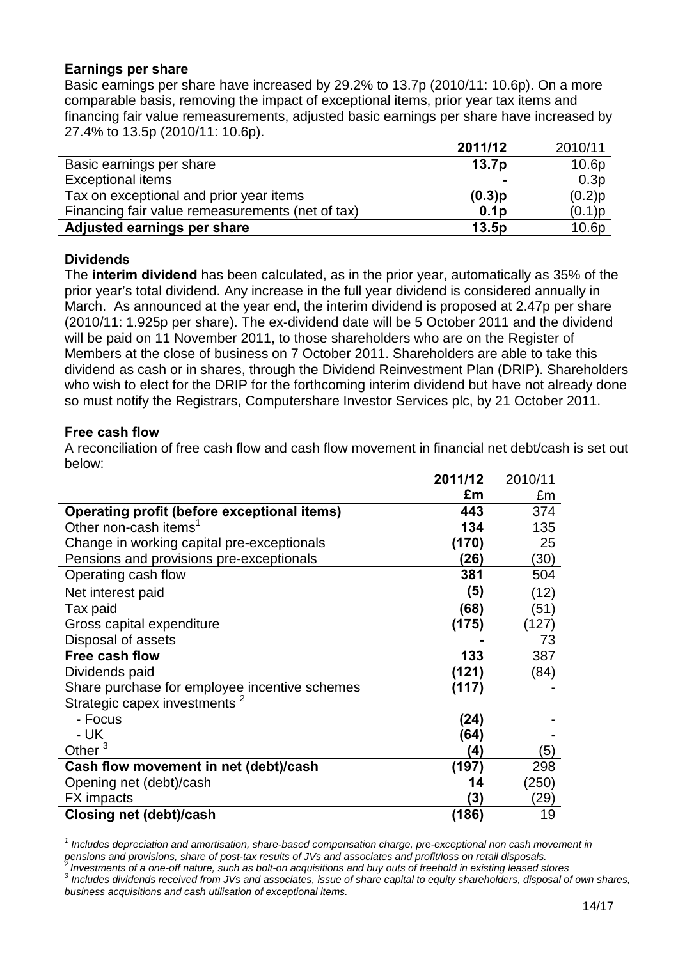## **Earnings per share**

Basic earnings per share have increased by 29.2% to 13.7p (2010/11: 10.6p). On a more comparable basis, removing the impact of exceptional items, prior year tax items and financing fair value remeasurements, adjusted basic earnings per share have increased by 27.4% to 13.5p (2010/11: 10.6p).

|                                                  | 2011/12          | 2010/11   |
|--------------------------------------------------|------------------|-----------|
| Basic earnings per share                         | 13.7p            | 10.6p     |
| Exceptional items                                |                  | 0.3p      |
| Tax on exceptional and prior year items          | (0.3)p           | $(0.2)$ p |
| Financing fair value remeasurements (net of tax) | 0.1 <sub>p</sub> | (0.1)p    |
| Adjusted earnings per share                      | 13.5p            | 10.6p     |

## **Dividends**

The **interim dividend** has been calculated, as in the prior year, automatically as 35% of the prior year's total dividend. Any increase in the full year dividend is considered annually in March. As announced at the year end, the interim dividend is proposed at 2.47p per share (2010/11: 1.925p per share). The ex-dividend date will be 5 October 2011 and the dividend will be paid on 11 November 2011, to those shareholders who are on the Register of Members at the close of business on 7 October 2011. Shareholders are able to take this dividend as cash or in shares, through the Dividend Reinvestment Plan (DRIP). Shareholders who wish to elect for the DRIP for the forthcoming interim dividend but have not already done so must notify the Registrars, Computershare Investor Services plc, by 21 October 2011.

## **Free cash flow**

A reconciliation of free cash flow and cash flow movement in financial net debt/cash is set out below:

|                                                    | 2011/12 | 2010/11 |
|----------------------------------------------------|---------|---------|
|                                                    | £m      | £m      |
| <b>Operating profit (before exceptional items)</b> | 443     | 374     |
| Other non-cash items <sup>1</sup>                  | 134     | 135     |
| Change in working capital pre-exceptionals         | (170)   | 25      |
| Pensions and provisions pre-exceptionals           | (26)    | (30)    |
| Operating cash flow                                | 381     | 504     |
| Net interest paid                                  | (5)     | (12)    |
| Tax paid                                           | (68)    | (51)    |
| Gross capital expenditure                          | (175)   | (127)   |
| Disposal of assets                                 |         | 73      |
| Free cash flow                                     | 133     | 387     |
| Dividends paid                                     | (121)   | (84)    |
| Share purchase for employee incentive schemes      | (117)   |         |
| Strategic capex investments <sup>2</sup>           |         |         |
| - Focus                                            | (24)    |         |
| - UK                                               | (64)    |         |
| Other <sup>3</sup>                                 | (4)     | (5)     |
| Cash flow movement in net (debt)/cash              | (197)   | 298     |
| Opening net (debt)/cash                            | 14      | (250)   |
| <b>FX</b> impacts                                  | (3)     | (29)    |
| Closing net (debt)/cash                            | (186)   | 19      |

 $1$  Includes depreciation and amortisation, share-based compensation charge, pre-exceptional non cash movement in pensions and provisions, share of post-tax results of JVs and associates and profit/loss on retail disposals.

<sup>2</sup>Investments of a one-off nature, such as bolt-on acquisitions and buy outs of freehold in existing leased stores <sup>3</sup> Includes dividends received from JVs and associates, issue of share capital to equity shareholders, disposal of own shares, business acquisitions and cash utilisation of exceptional items.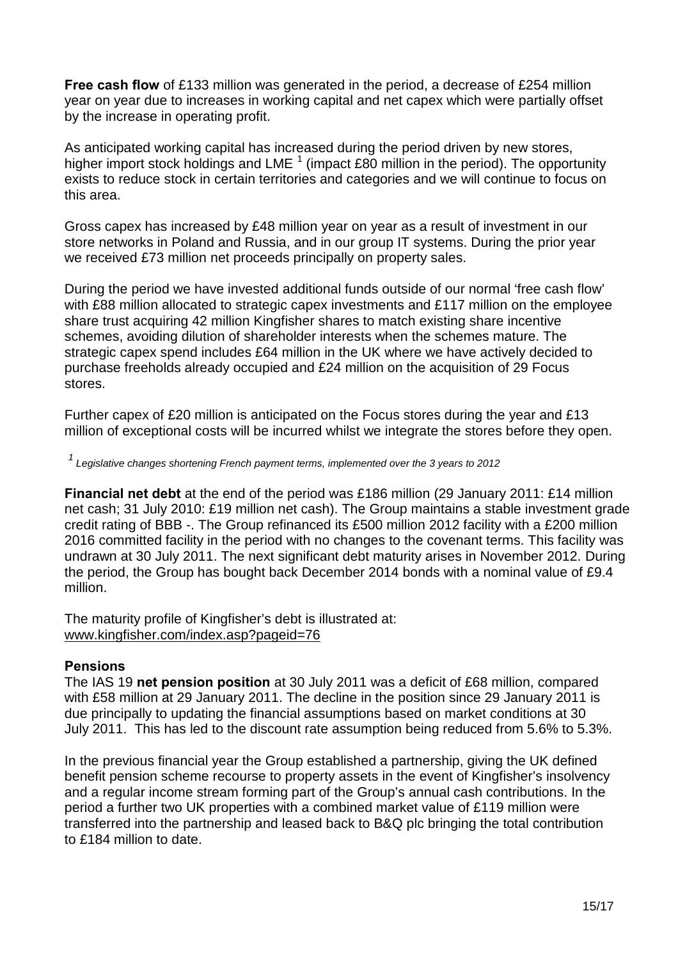**Free cash flow** of £133 million was generated in the period, a decrease of £254 million year on year due to increases in working capital and net capex which were partially offset by the increase in operating profit.

As anticipated working capital has increased during the period driven by new stores, higher import stock holdings and LME  $^1$  (impact £80 million in the period). The opportunity exists to reduce stock in certain territories and categories and we will continue to focus on this area.

Gross capex has increased by £48 million year on year as a result of investment in our store networks in Poland and Russia, and in our group IT systems. During the prior year we received £73 million net proceeds principally on property sales.

During the period we have invested additional funds outside of our normal 'free cash flow' with £88 million allocated to strategic capex investments and £117 million on the employee share trust acquiring 42 million Kingfisher shares to match existing share incentive schemes, avoiding dilution of shareholder interests when the schemes mature. The strategic capex spend includes £64 million in the UK where we have actively decided to purchase freeholds already occupied and £24 million on the acquisition of 29 Focus stores.

Further capex of £20 million is anticipated on the Focus stores during the year and £13 million of exceptional costs will be incurred whilst we integrate the stores before they open.

 $1$  Legislative changes shortening French payment terms, implemented over the 3 years to 2012

**Financial net debt** at the end of the period was £186 million (29 January 2011: £14 million net cash; 31 July 2010: £19 million net cash). The Group maintains a stable investment grade credit rating of BBB -. The Group refinanced its £500 million 2012 facility with a £200 million 2016 committed facility in the period with no changes to the covenant terms. This facility was undrawn at 30 July 2011. The next significant debt maturity arises in November 2012. During the period, the Group has bought back December 2014 bonds with a nominal value of £9.4 million.

The maturity profile of Kingfisher's debt is illustrated at: www.kingfisher.com/index.asp?pageid=76

# **Pensions**

The IAS 19 **net pension position** at 30 July 2011 was a deficit of £68 million, compared with £58 million at 29 January 2011. The decline in the position since 29 January 2011 is due principally to updating the financial assumptions based on market conditions at 30 July 2011. This has led to the discount rate assumption being reduced from 5.6% to 5.3%.

In the previous financial year the Group established a partnership, giving the UK defined benefit pension scheme recourse to property assets in the event of Kingfisher's insolvency and a regular income stream forming part of the Group's annual cash contributions. In the period a further two UK properties with a combined market value of £119 million were transferred into the partnership and leased back to B&Q plc bringing the total contribution to £184 million to date.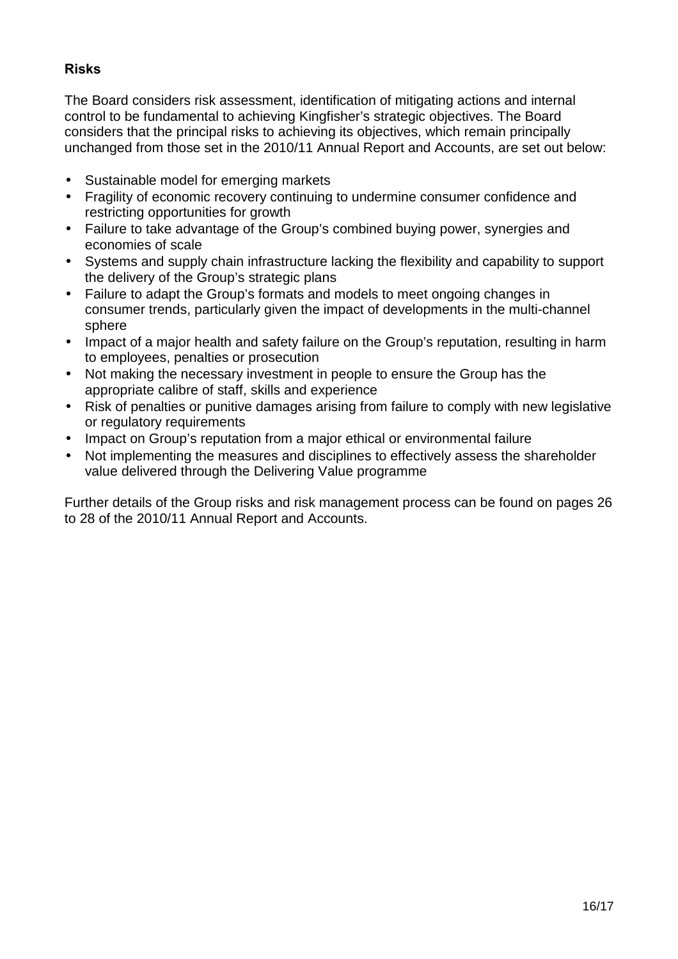# **Risks**

The Board considers risk assessment, identification of mitigating actions and internal control to be fundamental to achieving Kingfisher's strategic objectives. The Board considers that the principal risks to achieving its objectives, which remain principally unchanged from those set in the 2010/11 Annual Report and Accounts, are set out below:

- Sustainable model for emerging markets
- Fragility of economic recovery continuing to undermine consumer confidence and restricting opportunities for growth
- Failure to take advantage of the Group's combined buying power, synergies and economies of scale
- Systems and supply chain infrastructure lacking the flexibility and capability to support the delivery of the Group's strategic plans
- Failure to adapt the Group's formats and models to meet ongoing changes in consumer trends, particularly given the impact of developments in the multi-channel sphere
- Impact of a major health and safety failure on the Group's reputation, resulting in harm to employees, penalties or prosecution
- Not making the necessary investment in people to ensure the Group has the appropriate calibre of staff, skills and experience
- Risk of penalties or punitive damages arising from failure to comply with new legislative or regulatory requirements
- Impact on Group's reputation from a major ethical or environmental failure
- Not implementing the measures and disciplines to effectively assess the shareholder value delivered through the Delivering Value programme

Further details of the Group risks and risk management process can be found on pages 26 to 28 of the 2010/11 Annual Report and Accounts.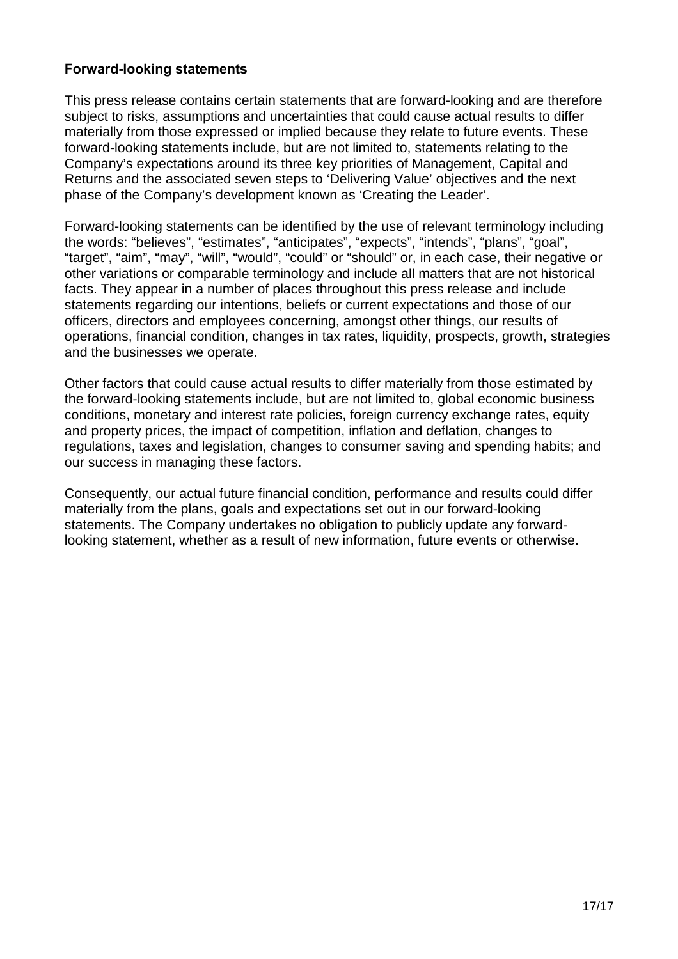## **Forward-looking statements**

This press release contains certain statements that are forward-looking and are therefore subject to risks, assumptions and uncertainties that could cause actual results to differ materially from those expressed or implied because they relate to future events. These forward-looking statements include, but are not limited to, statements relating to the Company's expectations around its three key priorities of Management, Capital and Returns and the associated seven steps to 'Delivering Value' objectives and the next phase of the Company's development known as 'Creating the Leader'.

Forward-looking statements can be identified by the use of relevant terminology including the words: "believes", "estimates", "anticipates", "expects", "intends", "plans", "goal", "target", "aim", "may", "will", "would", "could" or "should" or, in each case, their negative or other variations or comparable terminology and include all matters that are not historical facts. They appear in a number of places throughout this press release and include statements regarding our intentions, beliefs or current expectations and those of our officers, directors and employees concerning, amongst other things, our results of operations, financial condition, changes in tax rates, liquidity, prospects, growth, strategies and the businesses we operate.

Other factors that could cause actual results to differ materially from those estimated by the forward-looking statements include, but are not limited to, global economic business conditions, monetary and interest rate policies, foreign currency exchange rates, equity and property prices, the impact of competition, inflation and deflation, changes to regulations, taxes and legislation, changes to consumer saving and spending habits; and our success in managing these factors.

Consequently, our actual future financial condition, performance and results could differ materially from the plans, goals and expectations set out in our forward-looking statements. The Company undertakes no obligation to publicly update any forwardlooking statement, whether as a result of new information, future events or otherwise.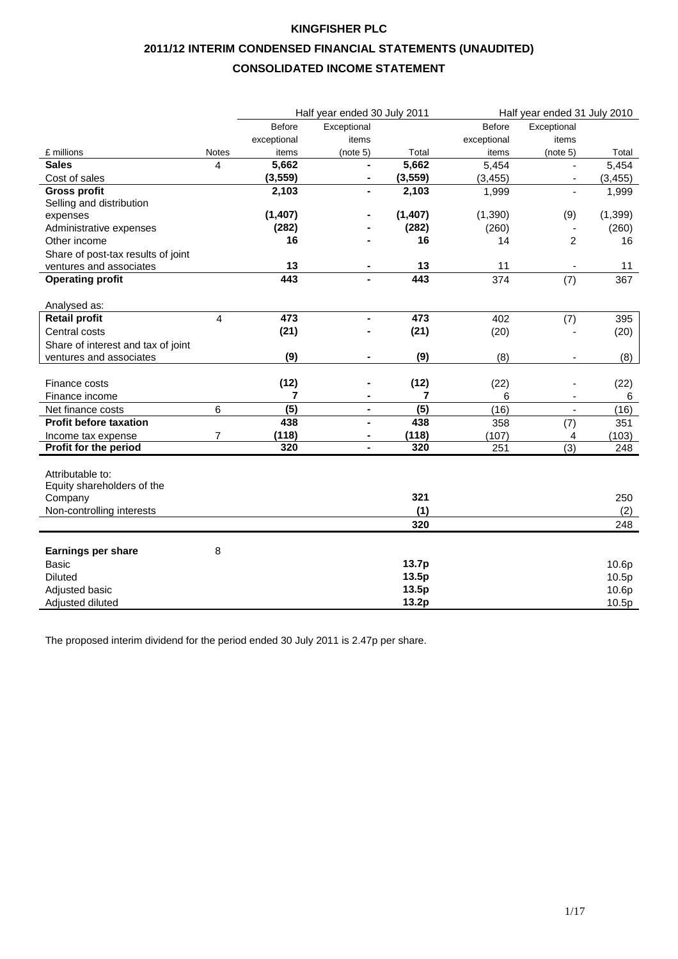# **2011/12 INTERIM CONDENSED FINANCIAL STATEMENTS (UNAUDITED)**

|                                    |              |                  | Half year ended 30 July 2011 |          |               | Half year ended 31 July 2010 |          |
|------------------------------------|--------------|------------------|------------------------------|----------|---------------|------------------------------|----------|
|                                    |              | <b>Before</b>    | Exceptional                  |          | <b>Before</b> | Exceptional                  |          |
|                                    |              | exceptional      | items                        |          | exceptional   | items                        |          |
| £ millions                         | <b>Notes</b> | items            | (note 5)                     | Total    | items         | (note 5)                     | Total    |
| <b>Sales</b>                       | 4            | 5,662            | ä,                           | 5,662    | 5,454         | $\blacksquare$               | 5,454    |
| Cost of sales                      |              | (3, 559)         | ۰                            | (3, 559) | (3, 455)      | $\overline{\phantom{a}}$     | (3, 455) |
| <b>Gross profit</b>                |              | 2,103            | $\blacksquare$               | 2,103    | 1,999         | ä,                           | 1,999    |
| Selling and distribution           |              |                  |                              |          |               |                              |          |
| expenses                           |              | (1, 407)         |                              | (1, 407) | (1, 390)      | (9)                          | (1, 399) |
| Administrative expenses            |              | (282)            |                              | (282)    | (260)         |                              | (260)    |
| Other income                       |              | 16               |                              | 16       | 14            | $\overline{2}$               | 16       |
| Share of post-tax results of joint |              |                  |                              |          |               |                              |          |
| ventures and associates            |              | 13               |                              | 13       | 11            |                              | 11       |
| <b>Operating profit</b>            |              | 443              |                              | 443      | 374           | (7)                          | 367      |
|                                    |              |                  |                              |          |               |                              |          |
| Analysed as:                       |              |                  |                              |          |               |                              |          |
| <b>Retail profit</b>               | 4            | 473              |                              | 473      | 402           | (7)                          | 395      |
| Central costs                      |              | (21)             |                              | (21)     | (20)          |                              | (20)     |
| Share of interest and tax of joint |              |                  |                              |          |               |                              |          |
| ventures and associates            |              | (9)              |                              | (9)      | (8)           |                              | (8)      |
|                                    |              |                  |                              |          |               |                              |          |
| Finance costs                      |              | (12)             |                              | (12)     | (22)          |                              | (22)     |
| Finance income                     |              | 7                |                              | 7        | 6             |                              | 6        |
| Net finance costs                  | 6            | $\overline{(5)}$ | $\blacksquare$               | (5)      | (16)          | ä,                           | (16)     |
| <b>Profit before taxation</b>      |              | 438              |                              | 438      | 358           | (7)                          | 351      |
| Income tax expense                 | 7            | (118)            |                              | (118)    | (107)         | 4                            | (103)    |
| Profit for the period              |              | 320              |                              | 320      | 251           | $\overline{3}$               | 248      |
|                                    |              |                  |                              |          |               |                              |          |
| Attributable to:                   |              |                  |                              |          |               |                              |          |
| Equity shareholders of the         |              |                  |                              |          |               |                              |          |
| Company                            |              |                  |                              | 321      |               |                              | 250      |
| Non-controlling interests          |              |                  |                              | (1)      |               |                              | (2)      |
|                                    |              |                  |                              | 320      |               |                              | 248      |
|                                    |              |                  |                              |          |               |                              |          |
| <b>Earnings per share</b>          | 8            |                  |                              |          |               |                              |          |
| <b>Basic</b>                       |              |                  |                              | 13.7p    |               |                              | 10.6p    |
| <b>Diluted</b>                     |              |                  |                              | 13.5p    |               |                              | 10.5p    |
| Adjusted basic                     |              |                  |                              | 13.5p    |               |                              | 10.6p    |
| Adjusted diluted                   |              |                  |                              | 13.2p    |               |                              | 10.5p    |

The proposed interim dividend for the period ended 30 July 2011 is 2.47p per share.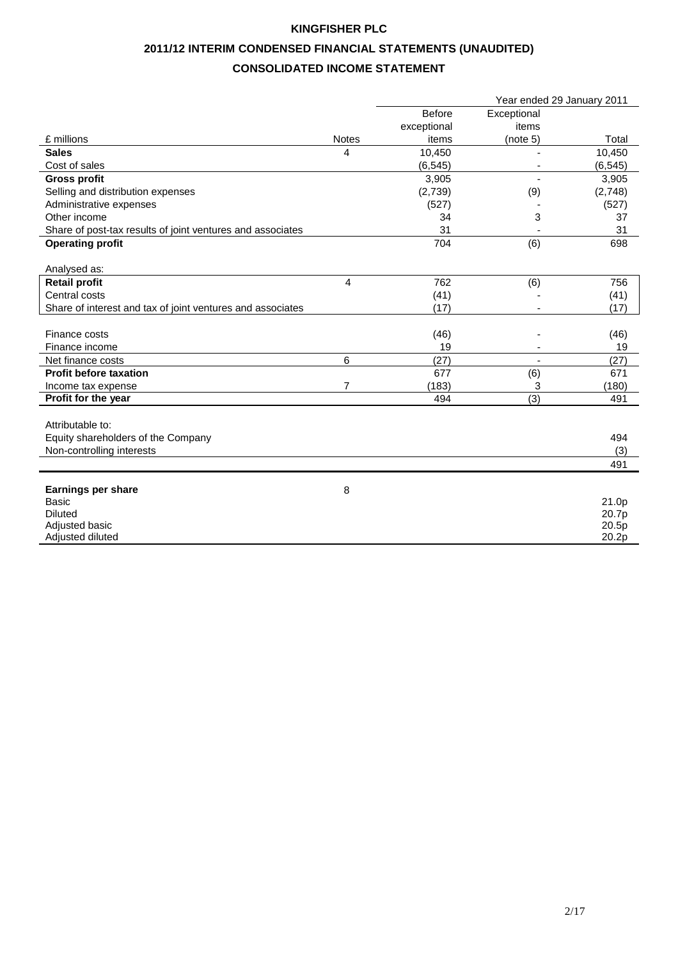# **2011/12 INTERIM CONDENSED FINANCIAL STATEMENTS (UNAUDITED)**

## **CONSOLIDATED INCOME STATEMENT**

|                                                            |                 |               | Year ended 29 January 2011 |          |
|------------------------------------------------------------|-----------------|---------------|----------------------------|----------|
|                                                            |                 | <b>Before</b> | Exceptional                |          |
|                                                            |                 | exceptional   | items                      |          |
| £ millions                                                 | <b>Notes</b>    | items         | (note 5)                   | Total    |
| <b>Sales</b>                                               | 4               | 10,450        |                            | 10,450   |
| Cost of sales                                              |                 | (6, 545)      |                            | (6, 545) |
| <b>Gross profit</b>                                        |                 | 3,905         |                            | 3,905    |
| Selling and distribution expenses                          |                 | (2,739)       | (9)                        | (2,748)  |
| Administrative expenses                                    |                 | (527)         |                            | (527)    |
| Other income                                               |                 | 34            | 3                          | 37       |
| Share of post-tax results of joint ventures and associates |                 | 31            |                            | 31       |
| <b>Operating profit</b>                                    |                 | 704           | (6)                        | 698      |
|                                                            |                 |               |                            |          |
| Analysed as:                                               |                 |               |                            |          |
| <b>Retail profit</b>                                       | $\overline{4}$  | 762           | (6)                        | 756      |
| Central costs                                              |                 | (41)          |                            | (41)     |
| Share of interest and tax of joint ventures and associates |                 | (17)          |                            | (17)     |
|                                                            |                 |               |                            |          |
| Finance costs                                              |                 | (46)          |                            | (46)     |
| Finance income                                             |                 | 19            |                            | 19       |
| Net finance costs                                          | $6\phantom{1}6$ | (27)          | $\blacksquare$             | (27)     |
| <b>Profit before taxation</b>                              |                 | 677           | (6)                        | 671      |
| Income tax expense                                         | 7               | (183)         | 3                          | (180)    |
| Profit for the year                                        |                 | 494           | $\overline{3}$             | 491      |
|                                                            |                 |               |                            |          |
| Attributable to:                                           |                 |               |                            |          |
| Equity shareholders of the Company                         |                 |               |                            | 494      |
| Non-controlling interests                                  |                 |               |                            | (3)      |
|                                                            |                 |               |                            | 491      |
|                                                            |                 |               |                            |          |
| <b>Earnings per share</b>                                  | 8               |               |                            |          |
| <b>Basic</b>                                               |                 |               |                            | 21.0p    |
| <b>Diluted</b>                                             |                 |               |                            | 20.7p    |
| Adjusted basic                                             |                 |               |                            | 20.5p    |
| Adjusted diluted                                           |                 |               |                            | 20.2p    |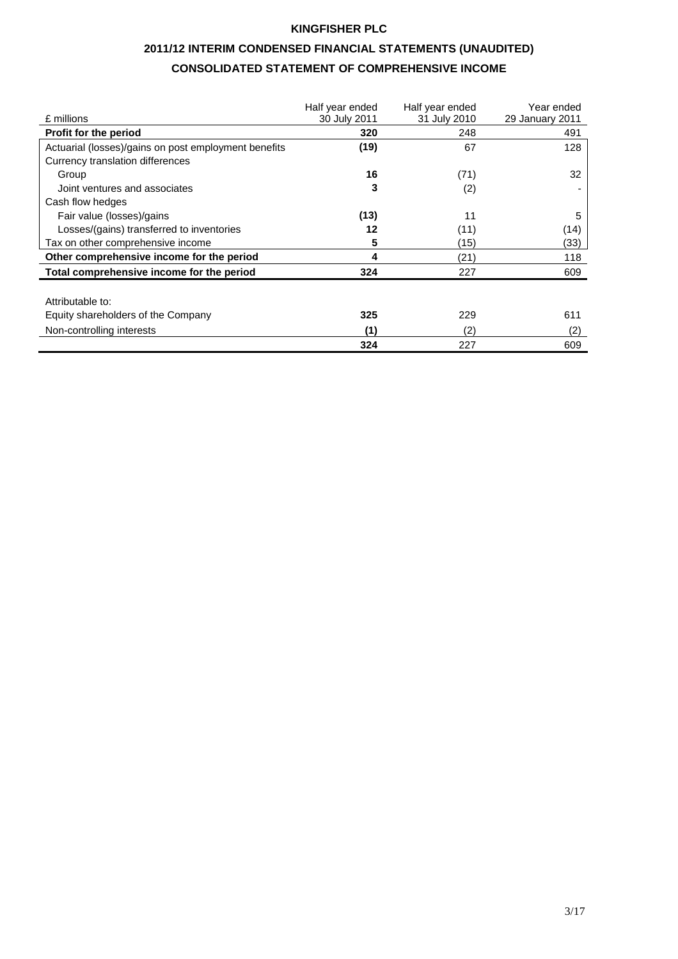# **2011/12 INTERIM CONDENSED FINANCIAL STATEMENTS (UNAUDITED) CONSOLIDATED STATEMENT OF COMPREHENSIVE INCOME**

|                                                      | Half year ended | Half year ended | Year ended      |
|------------------------------------------------------|-----------------|-----------------|-----------------|
| £ millions                                           | 30 July 2011    | 31 July 2010    | 29 January 2011 |
| <b>Profit for the period</b>                         | 320             | 248             | 491             |
| Actuarial (losses)/gains on post employment benefits | (19)            | 67              | 128             |
| Currency translation differences                     |                 |                 |                 |
| Group                                                | 16              | (71)            | 32              |
| Joint ventures and associates                        | 3               | (2)             |                 |
| Cash flow hedges                                     |                 |                 |                 |
| Fair value (losses)/gains                            | (13)            | 11              | 5               |
| Losses/(gains) transferred to inventories            | 12              | (11)            | (14)            |
| Tax on other comprehensive income                    | 5               | (15)            | (33)            |
| Other comprehensive income for the period            | 4               | (21)            | 118             |
| Total comprehensive income for the period            | 324             | 227             | 609             |
|                                                      |                 |                 |                 |
| Attributable to:                                     |                 |                 |                 |
| Equity shareholders of the Company                   | 325             | 229             | 611             |
| Non-controlling interests                            | (1)             | (2)             | (2)             |
|                                                      | 324             | 227             | 609             |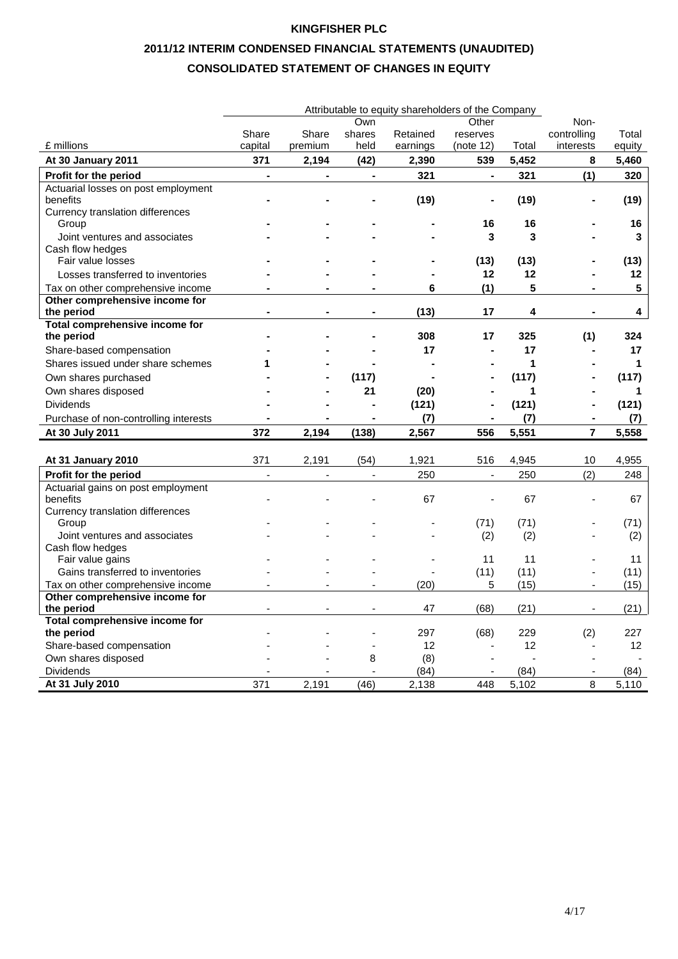# **2011/12 INTERIM CONDENSED FINANCIAL STATEMENTS (UNAUDITED) CONSOLIDATED STATEMENT OF CHANGES IN EQUITY**

|                                              | Attributable to equity shareholders of the Company |                |                              |          |                |       |                |                 |
|----------------------------------------------|----------------------------------------------------|----------------|------------------------------|----------|----------------|-------|----------------|-----------------|
|                                              |                                                    |                | Own                          |          | Other          |       | Non-           |                 |
|                                              | Share                                              | Share          | shares                       | Retained | reserves       |       | controlling    | Total           |
| £ millions                                   | capital                                            | premium        | held                         | earnings | (note 12)      | Total | interests      | equity          |
| At 30 January 2011                           | 371                                                | 2,194          | (42)                         | 2,390    | 539            | 5,452 | 8              | 5,460           |
| Profit for the period                        | $\blacksquare$                                     |                | $\qquad \qquad \blacksquare$ | 321      | $\blacksquare$ | 321   | (1)            | 320             |
| Actuarial losses on post employment          |                                                    |                |                              |          |                |       |                |                 |
| benefits                                     |                                                    |                |                              | (19)     |                | (19)  |                | (19)            |
| Currency translation differences             |                                                    |                |                              |          |                |       |                |                 |
| Group                                        |                                                    |                |                              |          | 16             | 16    |                | 16              |
| Joint ventures and associates                |                                                    |                |                              |          | 3              | 3     |                | 3               |
| Cash flow hedges                             |                                                    |                |                              |          |                |       |                |                 |
| Fair value losses                            |                                                    |                |                              |          | (13)           | (13)  |                | (13)            |
| Losses transferred to inventories            |                                                    |                |                              |          | 12             | 12    |                | 12              |
| Tax on other comprehensive income            |                                                    |                |                              | 6        | (1)            | 5     | $\blacksquare$ | $5\phantom{.0}$ |
| Other comprehensive income for               |                                                    |                |                              |          |                | 4     |                |                 |
| the period<br>Total comprehensive income for | $\blacksquare$                                     | -              |                              | (13)     | 17             |       |                | 4               |
| the period                                   |                                                    |                |                              | 308      | 17             | 325   | (1)            | 324             |
|                                              |                                                    |                |                              | 17       | $\blacksquare$ | 17    | $\blacksquare$ | 17              |
| Share-based compensation                     | 1                                                  |                |                              |          |                | 1     |                | $\mathbf{1}$    |
| Shares issued under share schemes            |                                                    |                |                              |          |                |       |                |                 |
| Own shares purchased                         |                                                    |                | (117)                        |          |                | (117) |                | (117)           |
| Own shares disposed                          |                                                    |                | 21                           | (20)     |                | 1     | $\blacksquare$ | 1               |
| <b>Dividends</b>                             |                                                    |                |                              | (121)    |                | (121) | ۰              | (121)           |
| Purchase of non-controlling interests        |                                                    |                |                              | (7)      |                | (7)   | $\blacksquare$ | (7)             |
| At 30 July 2011                              | 372                                                | 2,194          | (138)                        | 2,567    | 556            | 5,551 | $\overline{7}$ | 5,558           |
|                                              |                                                    |                |                              |          |                |       |                |                 |
| At 31 January 2010                           | 371                                                | 2,191          | (54)                         | 1,921    | 516            | 4,945 | 10             | 4,955           |
| Profit for the period                        | ÷,                                                 | $\blacksquare$ | ÷,                           | 250      | $\blacksquare$ | 250   | (2)            | 248             |
| Actuarial gains on post employment           |                                                    |                |                              |          |                |       |                |                 |
| benefits                                     |                                                    |                |                              | 67       |                | 67    |                | 67              |
| Currency translation differences             |                                                    |                |                              |          |                |       |                |                 |
| Group                                        |                                                    |                |                              |          | (71)           | (71)  |                | (71)            |
| Joint ventures and associates                |                                                    |                |                              |          | (2)            | (2)   |                | (2)             |
| Cash flow hedges<br>Fair value gains         |                                                    |                |                              |          | 11             | 11    |                | 11              |
| Gains transferred to inventories             |                                                    |                |                              |          | (11)           | (11)  | $\overline{a}$ | (11)            |
| Tax on other comprehensive income            |                                                    |                |                              | (20)     | 5              | (15)  | $\blacksquare$ | (15)            |
| Other comprehensive income for               |                                                    |                |                              |          |                |       |                |                 |
| the period                                   |                                                    |                |                              | 47       | (68)           | (21)  | ä,             | (21)            |
| Total comprehensive income for               |                                                    |                |                              |          |                |       |                |                 |
| the period                                   |                                                    |                |                              | 297      | (68)           | 229   | (2)            | 227             |
| Share-based compensation                     |                                                    |                |                              | 12       |                | 12    | ÷.             | 12              |
| Own shares disposed                          |                                                    |                | 8                            | (8)      | $\overline{a}$ |       | $\overline{a}$ |                 |
| Dividends                                    |                                                    |                |                              | (84)     |                | (84)  |                | (84)            |
| At 31 July 2010                              | 371                                                | 2,191          | (46)                         | 2,138    | 448            | 5,102 | 8              | 5,110           |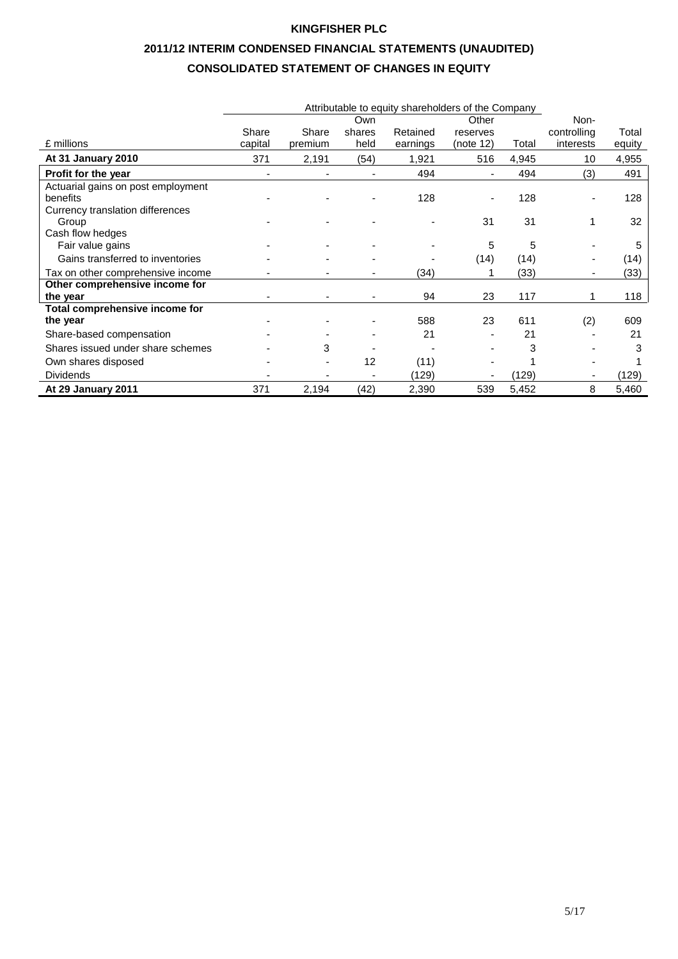# **2011/12 INTERIM CONDENSED FINANCIAL STATEMENTS (UNAUDITED) CONSOLIDATED STATEMENT OF CHANGES IN EQUITY**

|                                    |         | Attributable to equity shareholders of the Company |        |          |           |       |                          |        |
|------------------------------------|---------|----------------------------------------------------|--------|----------|-----------|-------|--------------------------|--------|
|                                    |         |                                                    | Own    |          | Other     |       | Non-                     |        |
|                                    | Share   | Share                                              | shares | Retained | reserves  |       | controlling              | Total  |
| £ millions                         | capital | premium                                            | held   | earnings | (note 12) | Total | interests                | equity |
| At 31 January 2010                 | 371     | 2,191                                              | (54)   | 1,921    | 516       | 4,945 | 10                       | 4,955  |
| <b>Profit for the year</b>         |         |                                                    |        | 494      |           | 494   | (3)                      | 491    |
| Actuarial gains on post employment |         |                                                    |        |          |           |       |                          |        |
| benefits                           |         |                                                    |        | 128      |           | 128   |                          | 128    |
| Currency translation differences   |         |                                                    |        |          |           |       |                          |        |
| Group                              |         |                                                    |        |          | 31        | 31    |                          | 32     |
| Cash flow hedges                   |         |                                                    |        |          |           |       |                          |        |
| Fair value gains                   |         |                                                    |        |          | 5         | 5     |                          | 5      |
| Gains transferred to inventories   |         |                                                    |        |          | (14)      | (14)  |                          | (14)   |
| Tax on other comprehensive income  |         |                                                    |        | (34)     |           | (33)  | $\overline{\phantom{0}}$ | (33)   |
| Other comprehensive income for     |         |                                                    |        |          |           |       |                          |        |
| the year                           |         |                                                    |        | 94       | 23        | 117   | 1                        | 118    |
| Total comprehensive income for     |         |                                                    |        |          |           |       |                          |        |
| the year                           |         |                                                    |        | 588      | 23        | 611   | (2)                      | 609    |
| Share-based compensation           |         |                                                    |        | 21       |           | 21    |                          | 21     |
| Shares issued under share schemes  |         | 3                                                  |        |          |           | 3     |                          | 3      |
| Own shares disposed                |         |                                                    | 12     | (11)     |           |       |                          |        |
| <b>Dividends</b>                   |         |                                                    |        | (129)    |           | (129) | $\overline{\phantom{a}}$ | (129)  |
| At 29 January 2011                 | 371     | 2,194                                              | (42)   | 2,390    | 539       | 5,452 | 8                        | 5,460  |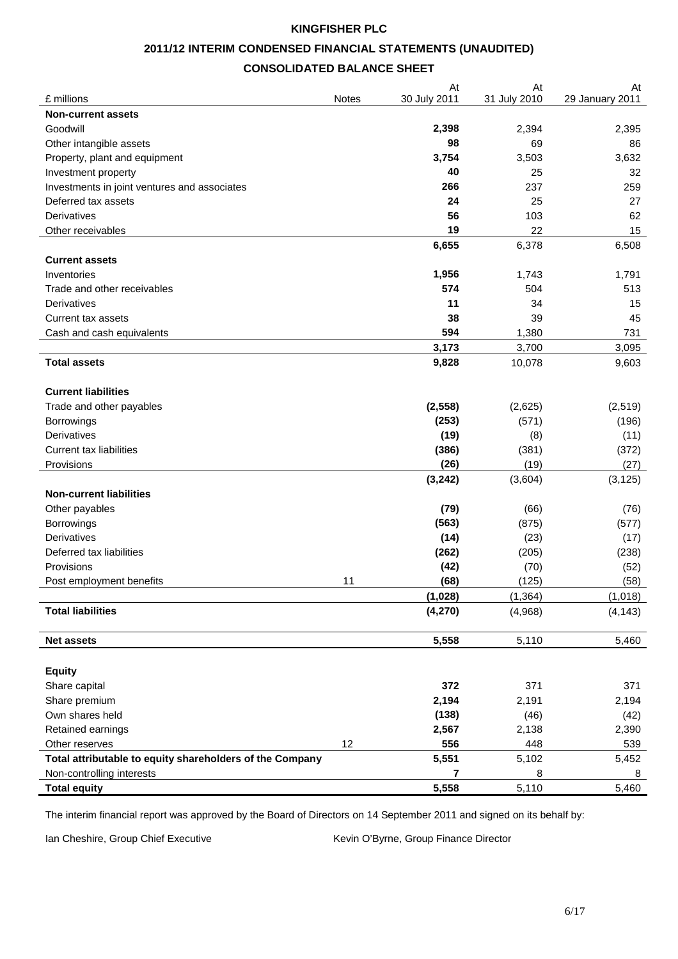## **2011/12 INTERIM CONDENSED FINANCIAL STATEMENTS (UNAUDITED)**

## **CONSOLIDATED BALANCE SHEET**

| £ millions                                               | Notes | At<br>30 July 2011 | At<br>31 July 2010 | At<br>29 January 2011 |
|----------------------------------------------------------|-------|--------------------|--------------------|-----------------------|
| <b>Non-current assets</b>                                |       |                    |                    |                       |
| Goodwill                                                 |       | 2,398              | 2,394              | 2,395                 |
| Other intangible assets                                  |       | 98                 | 69                 | 86                    |
|                                                          |       | 3,754              | 3,503              | 3,632                 |
| Property, plant and equipment                            |       |                    |                    |                       |
| Investment property                                      |       | 40                 | 25                 | 32                    |
| Investments in joint ventures and associates             |       | 266                | 237                | 259                   |
| Deferred tax assets                                      |       | 24                 | 25                 | 27                    |
| Derivatives                                              |       | 56                 | 103                | 62                    |
| Other receivables                                        |       | 19                 | 22                 | 15                    |
|                                                          |       | 6,655              | 6,378              | 6,508                 |
| <b>Current assets</b>                                    |       |                    |                    |                       |
| Inventories                                              |       | 1,956              | 1,743              | 1,791                 |
| Trade and other receivables                              |       | 574                | 504                | 513                   |
| Derivatives                                              |       | 11                 | 34                 | 15                    |
| Current tax assets                                       |       | 38                 | 39                 | 45                    |
| Cash and cash equivalents                                |       | 594                | 1,380              | 731                   |
|                                                          |       | 3,173              | 3,700              | 3,095                 |
| <b>Total assets</b>                                      |       | 9,828              | 10,078             | 9,603                 |
|                                                          |       |                    |                    |                       |
| <b>Current liabilities</b>                               |       |                    |                    |                       |
| Trade and other payables                                 |       | (2, 558)           | (2,625)            | (2, 519)              |
| <b>Borrowings</b>                                        |       | (253)              | (571)              | (196)                 |
| Derivatives                                              |       | (19)               | (8)                | (11)                  |
| <b>Current tax liabilities</b>                           |       | (386)              | (381)              | (372)                 |
| Provisions                                               |       | (26)               | (19)               | (27)                  |
|                                                          |       | (3, 242)           | (3,604)            | (3, 125)              |
| <b>Non-current liabilities</b>                           |       |                    |                    |                       |
| Other payables                                           |       | (79)               | (66)               | (76)                  |
| <b>Borrowings</b>                                        |       | (563)              | (875)              | (577)                 |
| Derivatives                                              |       | (14)               | (23)               | (17)                  |
| Deferred tax liabilities                                 |       | (262)              | (205)              | (238)                 |
| Provisions                                               |       | (42)               | (70)               | (52)                  |
| Post employment benefits                                 | 11    | (68)               | (125)              | (58)                  |
|                                                          |       | (1,028)            | (1, 364)           | (1,018)               |
| <b>Total liabilities</b>                                 |       | (4,270)            | (4,968)            | (4, 143)              |
|                                                          |       |                    |                    |                       |
| <b>Net assets</b>                                        |       | 5,558              | 5,110              | 5,460                 |
|                                                          |       |                    |                    |                       |
| <b>Equity</b>                                            |       |                    |                    |                       |
| Share capital                                            |       | 372                | 371                | 371                   |
| Share premium                                            |       | 2,194              | 2,191              | 2,194                 |
| Own shares held                                          |       | (138)              | (46)               | (42)                  |
| Retained earnings                                        |       | 2,567              | 2,138              | 2,390                 |
| Other reserves                                           | 12    | 556                | 448                | 539                   |
| Total attributable to equity shareholders of the Company |       | 5,551              | 5,102              | 5,452                 |
| Non-controlling interests                                |       | 7                  | 8                  | 8                     |
| <b>Total equity</b>                                      |       | 5,558              | 5,110              | 5,460                 |
|                                                          |       |                    |                    |                       |

The interim financial report was approved by the Board of Directors on 14 September 2011 and signed on its behalf by:

Ian Cheshire, Group Chief Executive Kevin O'Byrne, Group Finance Director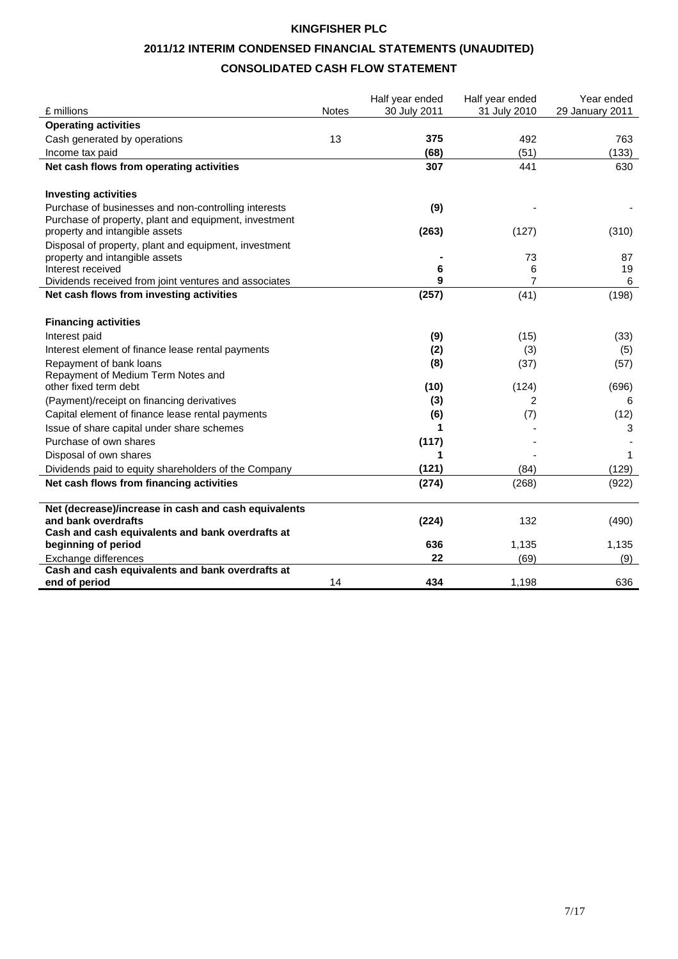# **2011/12 INTERIM CONDENSED FINANCIAL STATEMENTS (UNAUDITED)**

## **CONSOLIDATED CASH FLOW STATEMENT**

|                                                                            |       | Half year ended | Half year ended     | Year ended      |
|----------------------------------------------------------------------------|-------|-----------------|---------------------|-----------------|
| £ millions                                                                 | Notes | 30 July 2011    | 31 July 2010        | 29 January 2011 |
| <b>Operating activities</b>                                                |       |                 |                     |                 |
| Cash generated by operations                                               | 13    | 375             | 492                 | 763             |
| Income tax paid                                                            |       | (68)            | (51)                | (133)           |
| Net cash flows from operating activities                                   |       | 307             | 441                 | 630             |
|                                                                            |       |                 |                     |                 |
| <b>Investing activities</b>                                                |       |                 |                     |                 |
| Purchase of businesses and non-controlling interests                       |       | (9)             |                     |                 |
| Purchase of property, plant and equipment, investment                      |       |                 |                     |                 |
| property and intangible assets                                             |       | (263)           | (127)               | (310)           |
| Disposal of property, plant and equipment, investment                      |       |                 |                     |                 |
| property and intangible assets                                             |       |                 | 73                  | 87              |
| Interest received<br>Dividends received from joint ventures and associates |       | 6<br>9          | 6<br>$\overline{7}$ | 19<br>6         |
|                                                                            |       |                 |                     |                 |
| Net cash flows from investing activities                                   |       | (257)           | (41)                | (198)           |
|                                                                            |       |                 |                     |                 |
| <b>Financing activities</b>                                                |       |                 |                     |                 |
| Interest paid                                                              |       | (9)             | (15)                | (33)            |
| Interest element of finance lease rental payments                          |       | (2)             | (3)                 | (5)             |
| Repayment of bank loans<br>Repayment of Medium Term Notes and              |       | (8)             | (37)                | (57)            |
| other fixed term debt                                                      |       | (10)            | (124)               | (696)           |
| (Payment)/receipt on financing derivatives                                 |       | (3)             | 2                   | 6               |
| Capital element of finance lease rental payments                           |       | (6)             | (7)                 | (12)            |
| Issue of share capital under share schemes                                 |       | 1               |                     | 3               |
| Purchase of own shares                                                     |       | (117)           |                     |                 |
| Disposal of own shares                                                     |       | 1               |                     | 1               |
| Dividends paid to equity shareholders of the Company                       |       | (121)           | (84)                | (129)           |
| Net cash flows from financing activities                                   |       | (274)           | (268)               | (922)           |
|                                                                            |       |                 |                     |                 |
| Net (decrease)/increase in cash and cash equivalents                       |       |                 |                     |                 |
| and bank overdrafts                                                        |       | (224)           | 132                 | (490)           |
| Cash and cash equivalents and bank overdrafts at                           |       |                 |                     |                 |
| beginning of period                                                        |       | 636             | 1,135               | 1,135           |
| Exchange differences                                                       |       | 22              | (69)                | (9)             |
| Cash and cash equivalents and bank overdrafts at                           |       |                 |                     |                 |
| end of period                                                              | 14    | 434             | 1,198               | 636             |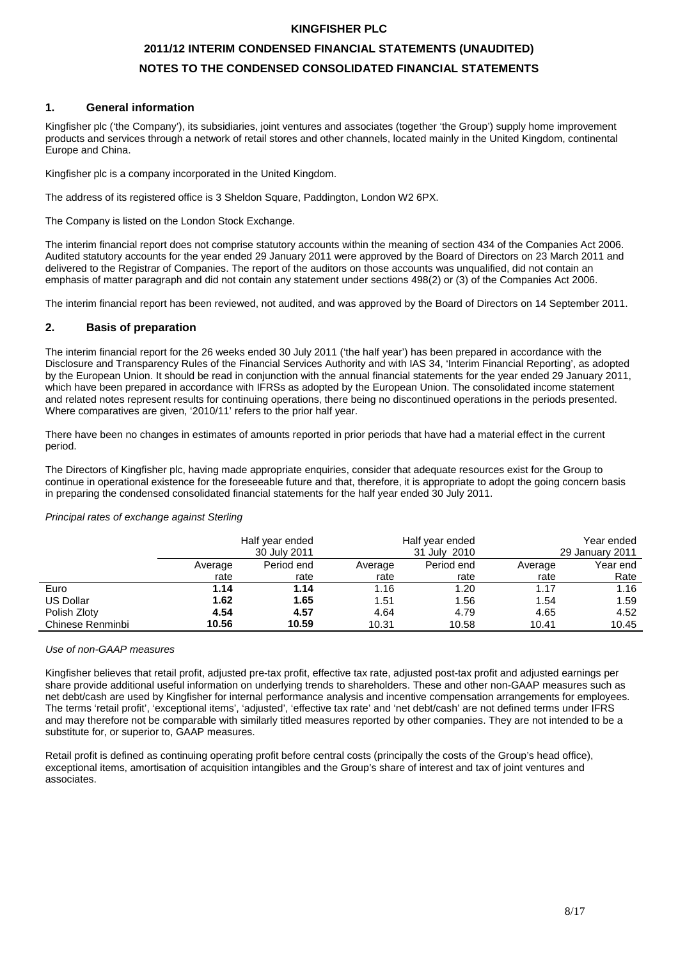# **2011/12 INTERIM CONDENSED FINANCIAL STATEMENTS (UNAUDITED) NOTES TO THE CONDENSED CONSOLIDATED FINANCIAL STATEMENTS**

### **1. General information**

Kingfisher plc ('the Company'), its subsidiaries, joint ventures and associates (together 'the Group') supply home improvement products and services through a network of retail stores and other channels, located mainly in the United Kingdom, continental Europe and China.

Kingfisher plc is a company incorporated in the United Kingdom.

The address of its registered office is 3 Sheldon Square, Paddington, London W2 6PX.

The Company is listed on the London Stock Exchange.

The interim financial report does not comprise statutory accounts within the meaning of section 434 of the Companies Act 2006. Audited statutory accounts for the year ended 29 January 2011 were approved by the Board of Directors on 23 March 2011 and delivered to the Registrar of Companies. The report of the auditors on those accounts was unqualified, did not contain an emphasis of matter paragraph and did not contain any statement under sections 498(2) or (3) of the Companies Act 2006.

The interim financial report has been reviewed, not audited, and was approved by the Board of Directors on 14 September 2011.

#### **2. Basis of preparation**

The interim financial report for the 26 weeks ended 30 July 2011 ('the half year') has been prepared in accordance with the Disclosure and Transparency Rules of the Financial Services Authority and with IAS 34, 'Interim Financial Reporting', as adopted by the European Union. It should be read in conjunction with the annual financial statements for the year ended 29 January 2011, which have been prepared in accordance with IFRSs as adopted by the European Union. The consolidated income statement and related notes represent results for continuing operations, there being no discontinued operations in the periods presented. Where comparatives are given, '2010/11' refers to the prior half year.

There have been no changes in estimates of amounts reported in prior periods that have had a material effect in the current period.

The Directors of Kingfisher plc, having made appropriate enquiries, consider that adequate resources exist for the Group to continue in operational existence for the foreseeable future and that, therefore, it is appropriate to adopt the going concern basis in preparing the condensed consolidated financial statements for the half year ended 30 July 2011.

|                  | Half year ended<br>30 July 2011 |            | Half year ended<br>31 July 2010 |            |         |          |  | Year ended<br>29 January 2011 |
|------------------|---------------------------------|------------|---------------------------------|------------|---------|----------|--|-------------------------------|
|                  | Average                         | Period end | Average                         | Period end | Average | Year end |  |                               |
|                  | rate                            | rate       | rate                            | rate       | rate    | Rate     |  |                               |
| Euro             | 1.14                            | 1.14       | 1.16                            | 1.20       | 1.17    | 1.16     |  |                               |
| <b>US Dollar</b> | 1.62                            | 1.65       | 1.51                            | 1.56       | 1.54    | 1.59     |  |                               |
| Polish Zloty     | 4.54                            | 4.57       | 4.64                            | 4.79       | 4.65    | 4.52     |  |                               |
| Chinese Renminbi | 10.56                           | 10.59      | 10.31                           | 10.58      | 10.41   | 10.45    |  |                               |

#### Principal rates of exchange against Sterling

#### Use of non-GAAP measures

Kingfisher believes that retail profit, adjusted pre-tax profit, effective tax rate, adjusted post-tax profit and adjusted earnings per share provide additional useful information on underlying trends to shareholders. These and other non-GAAP measures such as net debt/cash are used by Kingfisher for internal performance analysis and incentive compensation arrangements for employees. The terms 'retail profit', 'exceptional items', 'adjusted', 'effective tax rate' and 'net debt/cash' are not defined terms under IFRS and may therefore not be comparable with similarly titled measures reported by other companies. They are not intended to be a substitute for, or superior to, GAAP measures.

Retail profit is defined as continuing operating profit before central costs (principally the costs of the Group's head office), exceptional items, amortisation of acquisition intangibles and the Group's share of interest and tax of joint ventures and associates.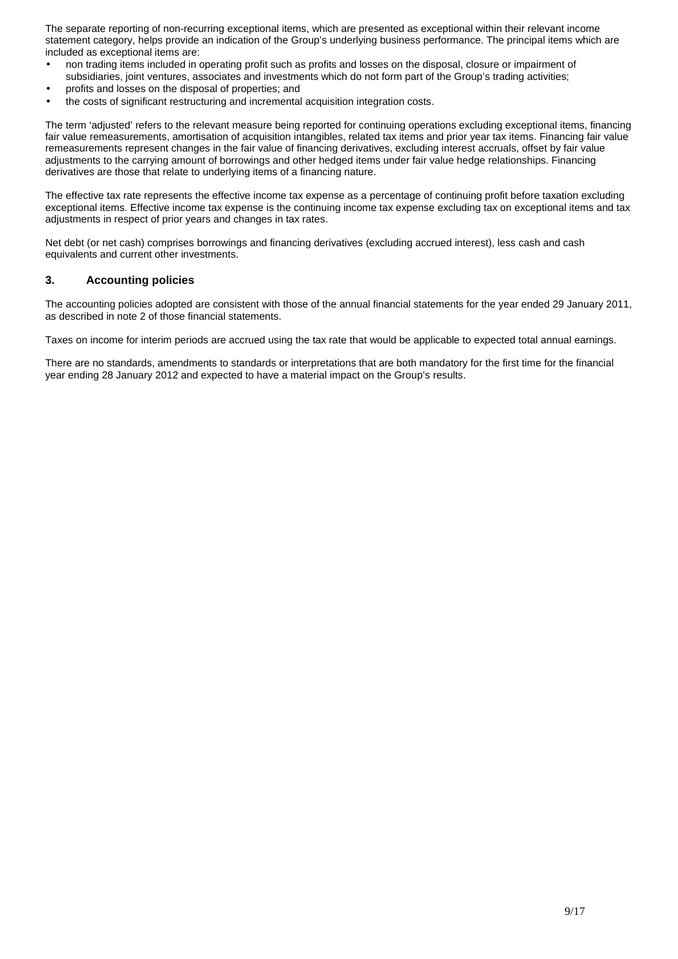The separate reporting of non-recurring exceptional items, which are presented as exceptional within their relevant income statement category, helps provide an indication of the Group's underlying business performance. The principal items which are included as exceptional items are:

- non trading items included in operating profit such as profits and losses on the disposal, closure or impairment of subsidiaries, joint ventures, associates and investments which do not form part of the Group's trading activities;
- profits and losses on the disposal of properties; and
- the costs of significant restructuring and incremental acquisition integration costs.

The term 'adjusted' refers to the relevant measure being reported for continuing operations excluding exceptional items, financing fair value remeasurements, amortisation of acquisition intangibles, related tax items and prior year tax items. Financing fair value remeasurements represent changes in the fair value of financing derivatives, excluding interest accruals, offset by fair value adjustments to the carrying amount of borrowings and other hedged items under fair value hedge relationships. Financing derivatives are those that relate to underlying items of a financing nature.

The effective tax rate represents the effective income tax expense as a percentage of continuing profit before taxation excluding exceptional items. Effective income tax expense is the continuing income tax expense excluding tax on exceptional items and tax adjustments in respect of prior years and changes in tax rates.

Net debt (or net cash) comprises borrowings and financing derivatives (excluding accrued interest), less cash and cash equivalents and current other investments.

#### **3. Accounting policies**

The accounting policies adopted are consistent with those of the annual financial statements for the year ended 29 January 2011, as described in note 2 of those financial statements.

Taxes on income for interim periods are accrued using the tax rate that would be applicable to expected total annual earnings.

There are no standards, amendments to standards or interpretations that are both mandatory for the first time for the financial year ending 28 January 2012 and expected to have a material impact on the Group's results.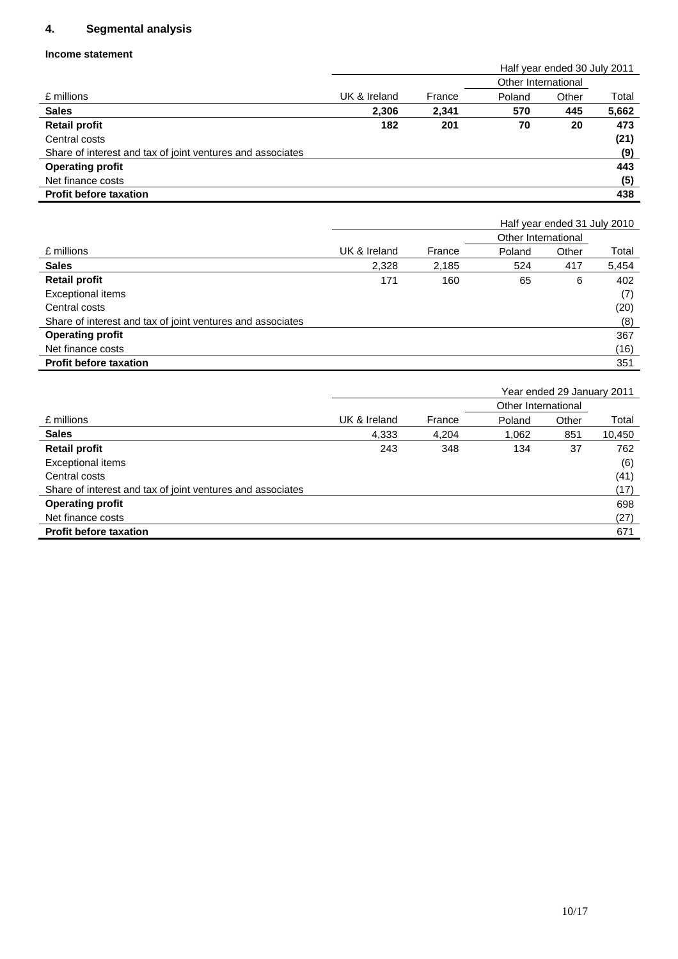## **4. Segmental analysis**

#### **Income statement**

|                                                            |              |        | Half year ended 30 July 2011 |       |       |
|------------------------------------------------------------|--------------|--------|------------------------------|-------|-------|
|                                                            |              |        | Other International          |       |       |
| £ millions                                                 | UK & Ireland | France | Poland                       | Other | Total |
| <b>Sales</b>                                               | 2,306        | 2,341  | 570                          | 445   | 5,662 |
| <b>Retail profit</b>                                       | 182          | 201    | 70                           | 20    | 473   |
| Central costs                                              |              |        |                              |       | (21)  |
| Share of interest and tax of joint ventures and associates |              |        |                              |       | (9)   |
| <b>Operating profit</b>                                    |              |        |                              |       | 443   |
| Net finance costs                                          |              |        |                              |       | (5)   |
| <b>Profit before taxation</b>                              |              |        |                              |       | 438   |

|                                                            |              |        | Half year ended 31 July 2010 |       |       |
|------------------------------------------------------------|--------------|--------|------------------------------|-------|-------|
|                                                            |              |        | Other International          |       |       |
| £ millions                                                 | UK & Ireland | France | Poland                       | Other | Total |
| <b>Sales</b>                                               | 2,328        | 2,185  | 524                          | 417   | 5,454 |
| <b>Retail profit</b>                                       | 171          | 160    | 65                           | 6     | 402   |
| <b>Exceptional items</b>                                   |              |        |                              |       | (7)   |
| Central costs                                              |              |        |                              |       | (20)  |
| Share of interest and tax of joint ventures and associates |              |        |                              |       | (8)   |
| <b>Operating profit</b>                                    |              |        |                              |       | 367   |
| Net finance costs                                          |              |        |                              |       | (16)  |
| <b>Profit before taxation</b>                              |              |        |                              |       | 351   |

|                                                            |              |        | Year ended 29 January 2011 |       |        |
|------------------------------------------------------------|--------------|--------|----------------------------|-------|--------|
|                                                            |              |        | Other International        |       |        |
| £ millions                                                 | UK & Ireland | France | Poland                     | Other | Total  |
| <b>Sales</b>                                               | 4,333        | 4,204  | 1,062                      | 851   | 10,450 |
| <b>Retail profit</b>                                       | 243          | 348    | 134                        | 37    | 762    |
| Exceptional items                                          |              |        |                            |       | (6)    |
| Central costs                                              |              |        |                            |       | (41)   |
| Share of interest and tax of joint ventures and associates |              |        |                            |       | (17)   |
| <b>Operating profit</b>                                    |              |        |                            |       | 698    |
| Net finance costs                                          |              |        |                            |       | (27)   |
| <b>Profit before taxation</b>                              |              |        |                            |       | 671    |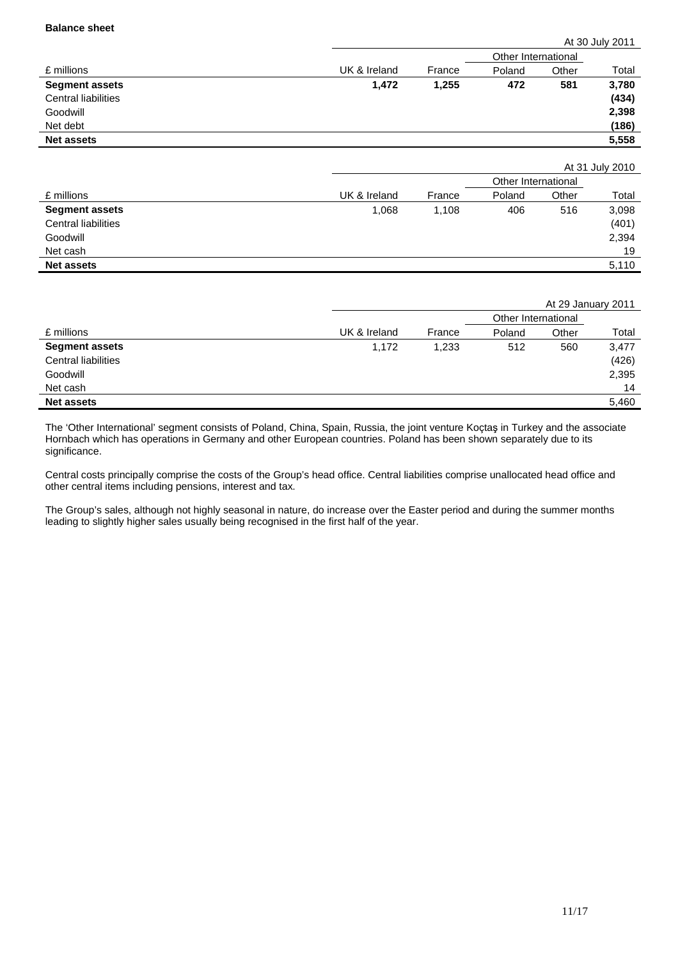#### **Balance sheet**

|                            |              |        | At 30 July 2011     |       |       |
|----------------------------|--------------|--------|---------------------|-------|-------|
|                            |              |        | Other International |       |       |
| £ millions                 | UK & Ireland | France | Poland              | Other | Total |
| <b>Segment assets</b>      | 1,472        | 1,255  | 472                 | 581   | 3,780 |
| <b>Central liabilities</b> |              |        |                     |       | (434) |
| Goodwill                   |              |        |                     |       | 2,398 |
| Net debt                   |              |        |                     |       | (186) |
| <b>Net assets</b>          |              |        |                     |       | 5,558 |
|                            |              |        |                     |       |       |

|                            |              |        |                     |       | At 31 July 2010 |
|----------------------------|--------------|--------|---------------------|-------|-----------------|
|                            |              |        | Other International |       |                 |
| £ millions                 | UK & Ireland | France | Poland              | Other | Total           |
| <b>Segment assets</b>      | 1,068        | 1,108  | 406                 | 516   | 3,098           |
| <b>Central liabilities</b> |              |        |                     |       | (401)           |
| Goodwill                   |              |        |                     |       | 2,394           |
| Net cash                   |              |        |                     |       | 19              |
| <b>Net assets</b>          |              |        |                     |       | 5.110           |

|                            |              |        |                     | At 29 January 2011 |       |
|----------------------------|--------------|--------|---------------------|--------------------|-------|
|                            |              |        | Other International |                    |       |
| £ millions                 | UK & Ireland | France | Poland              | Other              | Total |
| <b>Segment assets</b>      | 1,172        | 1,233  | 512                 | 560                | 3,477 |
| <b>Central liabilities</b> |              |        |                     |                    | (426) |
| Goodwill                   |              |        |                     |                    | 2,395 |
| Net cash                   |              |        |                     |                    | 14    |
| <b>Net assets</b>          |              |        |                     |                    | 5,460 |

The 'Other International' segment consists of Poland, China, Spain, Russia, the joint venture Koçtaş in Turkey and the associate Hornbach which has operations in Germany and other European countries. Poland has been shown separately due to its significance.

Central costs principally comprise the costs of the Group's head office. Central liabilities comprise unallocated head office and other central items including pensions, interest and tax.

The Group's sales, although not highly seasonal in nature, do increase over the Easter period and during the summer months leading to slightly higher sales usually being recognised in the first half of the year.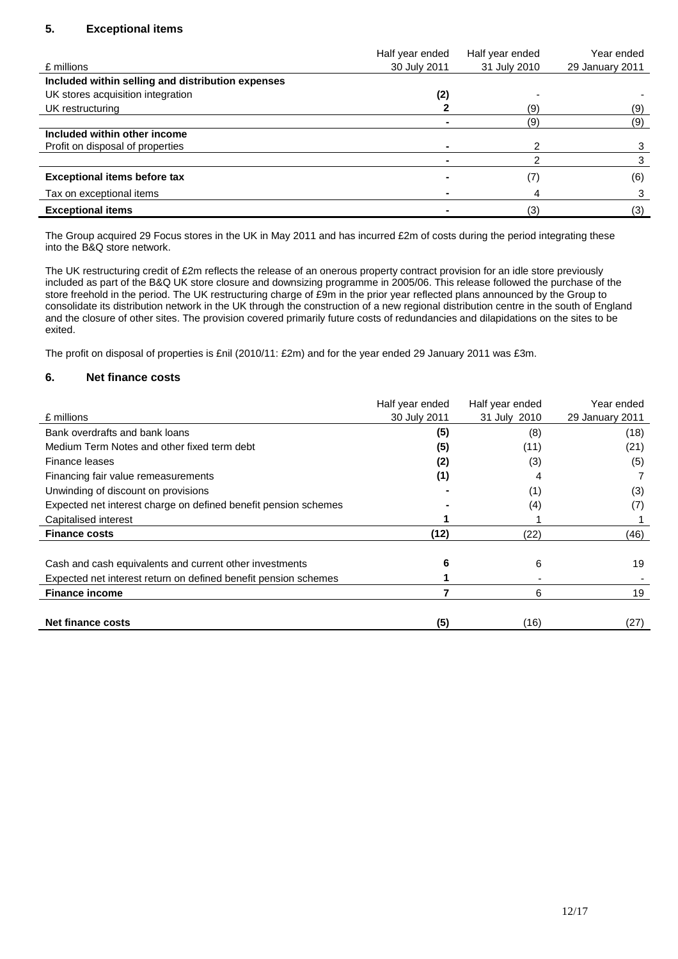## **5. Exceptional items**

|                                                   | Half year ended | Half year ended | Year ended      |
|---------------------------------------------------|-----------------|-----------------|-----------------|
| £ millions                                        | 30 July 2011    | 31 July 2010    | 29 January 2011 |
| Included within selling and distribution expenses |                 |                 |                 |
| UK stores acquisition integration                 | (2)             |                 |                 |
| UK restructuring                                  |                 | (9)             | (9)             |
|                                                   |                 | (9)             | (9)             |
| <b>Included within other income</b>               |                 |                 |                 |
| Profit on disposal of properties                  |                 |                 |                 |
|                                                   |                 |                 |                 |
| <b>Exceptional items before tax</b>               |                 | (7)             | (6)             |
| Tax on exceptional items                          |                 |                 |                 |
| <b>Exceptional items</b>                          |                 | (3)             | (3)             |

The Group acquired 29 Focus stores in the UK in May 2011 and has incurred £2m of costs during the period integrating these into the B&Q store network.

The UK restructuring credit of £2m reflects the release of an onerous property contract provision for an idle store previously included as part of the B&Q UK store closure and downsizing programme in 2005/06. This release followed the purchase of the store freehold in the period. The UK restructuring charge of £9m in the prior year reflected plans announced by the Group to consolidate its distribution network in the UK through the construction of a new regional distribution centre in the south of England and the closure of other sites. The provision covered primarily future costs of redundancies and dilapidations on the sites to be exited.

The profit on disposal of properties is £nil (2010/11: £2m) and for the year ended 29 January 2011 was £3m.

## **6. Net finance costs**

|                                                                 | Half year ended | Half year ended | Year ended      |
|-----------------------------------------------------------------|-----------------|-----------------|-----------------|
| £ millions                                                      | 30 July 2011    | 31 July 2010    | 29 January 2011 |
| Bank overdrafts and bank loans                                  | (5)             | (8)             | (18)            |
| Medium Term Notes and other fixed term debt                     | (5)             | (11)            | (21)            |
| Finance leases                                                  | (2)             | (3)             | (5)             |
| Financing fair value remeasurements                             | (1)             |                 |                 |
| Unwinding of discount on provisions                             |                 | (1)             | (3)             |
| Expected net interest charge on defined benefit pension schemes |                 | (4)             | (7)             |
| Capitalised interest                                            |                 |                 |                 |
| <b>Finance costs</b>                                            | (12)            | (22)            | (46)            |
|                                                                 |                 |                 |                 |
| Cash and cash equivalents and current other investments         | 6               | 6               | 19              |
| Expected net interest return on defined benefit pension schemes |                 |                 |                 |
| <b>Finance income</b>                                           |                 | 6               | 19              |
|                                                                 |                 |                 |                 |
| Net finance costs                                               | (5)             | (16)            | (27)            |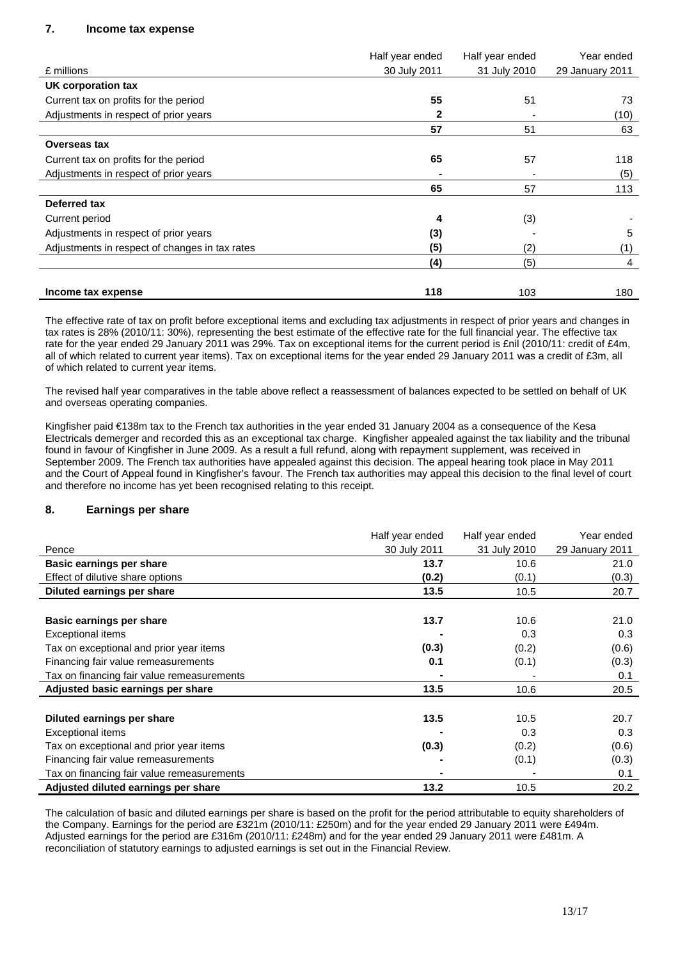|                                                | Half year ended | Half year ended | Year ended      |
|------------------------------------------------|-----------------|-----------------|-----------------|
| £ millions                                     | 30 July 2011    | 31 July 2010    | 29 January 2011 |
| UK corporation tax                             |                 |                 |                 |
| Current tax on profits for the period          | 55              | 51              | 73              |
| Adjustments in respect of prior years          | 2               |                 | (10)            |
|                                                | 57              | 51              | 63              |
| Overseas tax                                   |                 |                 |                 |
| Current tax on profits for the period          | 65              | 57              | 118             |
| Adjustments in respect of prior years          |                 |                 | (5)             |
|                                                | 65              | 57              | 113             |
| Deferred tax                                   |                 |                 |                 |
| Current period                                 | 4               | (3)             |                 |
| Adjustments in respect of prior years          | (3)             |                 | 5               |
| Adjustments in respect of changes in tax rates | (5)             | (2)             | (1)             |
|                                                | (4)             | (5)             | 4               |
|                                                |                 |                 |                 |
| Income tax expense                             | 118             | 103             | 180             |

The effective rate of tax on profit before exceptional items and excluding tax adjustments in respect of prior years and changes in tax rates is 28% (2010/11: 30%), representing the best estimate of the effective rate for the full financial year. The effective tax rate for the year ended 29 January 2011 was 29%. Tax on exceptional items for the current period is £nil (2010/11: credit of £4m, all of which related to current year items). Tax on exceptional items for the year ended 29 January 2011 was a credit of £3m, all of which related to current year items.

The revised half year comparatives in the table above reflect a reassessment of balances expected to be settled on behalf of UK and overseas operating companies.

Kingfisher paid €138m tax to the French tax authorities in the year ended 31 January 2004 as a consequence of the Kesa Electricals demerger and recorded this as an exceptional tax charge. Kingfisher appealed against the tax liability and the tribunal found in favour of Kingfisher in June 2009. As a result a full refund, along with repayment supplement, was received in September 2009. The French tax authorities have appealed against this decision. The appeal hearing took place in May 2011 and the Court of Appeal found in Kingfisher's favour. The French tax authorities may appeal this decision to the final level of court and therefore no income has yet been recognised relating to this receipt.

## **8. Earnings per share**

|                                            | Half year ended | Half year ended | Year ended      |
|--------------------------------------------|-----------------|-----------------|-----------------|
| Pence                                      | 30 July 2011    | 31 July 2010    | 29 January 2011 |
| Basic earnings per share                   | 13.7            | 10.6            | 21.0            |
| Effect of dilutive share options           | (0.2)           | (0.1)           | (0.3)           |
| Diluted earnings per share                 | 13.5            | 10.5            | 20.7            |
|                                            |                 |                 |                 |
| <b>Basic earnings per share</b>            | 13.7            | 10.6            | 21.0            |
| Exceptional items                          |                 | 0.3             | 0.3             |
| Tax on exceptional and prior year items    | (0.3)           | (0.2)           | (0.6)           |
| Financing fair value remeasurements        | 0.1             | (0.1)           | (0.3)           |
| Tax on financing fair value remeasurements |                 |                 | 0.1             |
| Adjusted basic earnings per share          | 13.5            | 10.6            | 20.5            |
|                                            |                 |                 |                 |
| Diluted earnings per share                 | 13.5            | 10.5            | 20.7            |
| Exceptional items                          |                 | 0.3             | 0.3             |
| Tax on exceptional and prior year items    | (0.3)           | (0.2)           | (0.6)           |
| Financing fair value remeasurements        |                 | (0.1)           | (0.3)           |
| Tax on financing fair value remeasurements |                 |                 | 0.1             |
| Adjusted diluted earnings per share        | 13.2            | 10.5            | 20.2            |

The calculation of basic and diluted earnings per share is based on the profit for the period attributable to equity shareholders of the Company. Earnings for the period are £321m (2010/11: £250m) and for the year ended 29 January 2011 were £494m. Adjusted earnings for the period are £316m (2010/11: £248m) and for the year ended 29 January 2011 were £481m. A reconciliation of statutory earnings to adjusted earnings is set out in the Financial Review.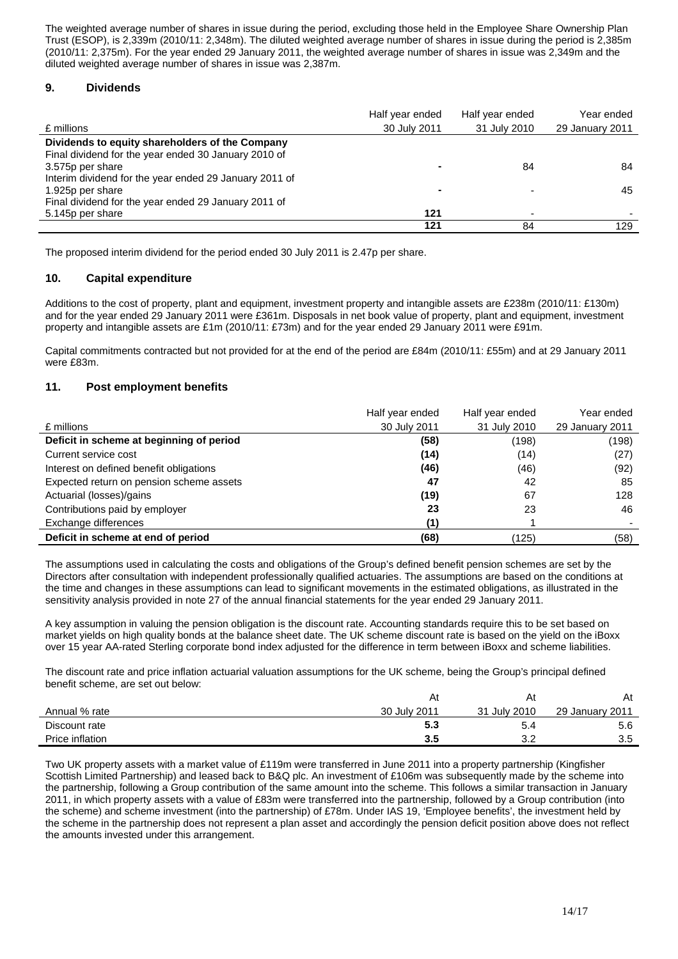The weighted average number of shares in issue during the period, excluding those held in the Employee Share Ownership Plan Trust (ESOP), is 2,339m (2010/11: 2,348m). The diluted weighted average number of shares in issue during the period is 2,385m (2010/11: 2,375m). For the year ended 29 January 2011, the weighted average number of shares in issue was 2,349m and the diluted weighted average number of shares in issue was 2,387m.

### **9. Dividends**

|                                                        | Half year ended | Half year ended          | Year ended      |
|--------------------------------------------------------|-----------------|--------------------------|-----------------|
| £ millions                                             | 30 July 2011    | 31 July 2010             | 29 January 2011 |
| Dividends to equity shareholders of the Company        |                 |                          |                 |
| Final dividend for the year ended 30 January 2010 of   |                 |                          |                 |
| 3.575p per share                                       |                 | 84                       | 84              |
| Interim dividend for the year ended 29 January 2011 of |                 |                          |                 |
| 1.925p per share                                       |                 | -                        | 45              |
| Final dividend for the year ended 29 January 2011 of   |                 |                          |                 |
| 5.145p per share                                       | 121             | $\overline{\phantom{0}}$ |                 |
|                                                        | 121             | 84                       | 129             |

The proposed interim dividend for the period ended 30 July 2011 is 2.47p per share.

### **10. Capital expenditure**

Additions to the cost of property, plant and equipment, investment property and intangible assets are £238m (2010/11: £130m) and for the year ended 29 January 2011 were £361m. Disposals in net book value of property, plant and equipment, investment property and intangible assets are £1m (2010/11: £73m) and for the year ended 29 January 2011 were £91m.

Capital commitments contracted but not provided for at the end of the period are £84m (2010/11: £55m) and at 29 January 2011 were £83m.

### **11. Post employment benefits**

|                                          | Half year ended | Half year ended | Year ended      |
|------------------------------------------|-----------------|-----------------|-----------------|
| £ millions                               | 30 July 2011    | 31 July 2010    | 29 January 2011 |
| Deficit in scheme at beginning of period | (58)            | (198)           | (198)           |
| Current service cost                     | (14)            | (14)            | (27)            |
| Interest on defined benefit obligations  | (46)            | (46)            | (92)            |
| Expected return on pension scheme assets | 47              | 42              | 85              |
| Actuarial (losses)/gains                 | (19)            | 67              | 128             |
| Contributions paid by employer           | 23              | 23              | 46              |
| Exchange differences                     | (1)             |                 |                 |
| Deficit in scheme at end of period       | (68)            | (125)           | (58)            |

The assumptions used in calculating the costs and obligations of the Group's defined benefit pension schemes are set by the Directors after consultation with independent professionally qualified actuaries. The assumptions are based on the conditions at the time and changes in these assumptions can lead to significant movements in the estimated obligations, as illustrated in the sensitivity analysis provided in note 27 of the annual financial statements for the year ended 29 January 2011.

A key assumption in valuing the pension obligation is the discount rate. Accounting standards require this to be set based on market yields on high quality bonds at the balance sheet date. The UK scheme discount rate is based on the yield on the iBoxx over 15 year AA-rated Sterling corporate bond index adjusted for the difference in term between iBoxx and scheme liabilities.

The discount rate and price inflation actuarial valuation assumptions for the UK scheme, being the Group's principal defined benefit scheme, are set out below:

|                 | At           | At           | At              |
|-----------------|--------------|--------------|-----------------|
| Annual % rate   | 30 July 2011 | 31 July 2010 | 29 January 2011 |
| Discount rate   | 5.3          | 5.4          | 5.6             |
| Price inflation | 3.5          | າເ<br>J.Z    | ບ.ບ             |

Two UK property assets with a market value of £119m were transferred in June 2011 into a property partnership (Kingfisher Scottish Limited Partnership) and leased back to B&Q plc. An investment of £106m was subsequently made by the scheme into the partnership, following a Group contribution of the same amount into the scheme. This follows a similar transaction in January 2011, in which property assets with a value of £83m were transferred into the partnership, followed by a Group contribution (into the scheme) and scheme investment (into the partnership) of £78m. Under IAS 19, 'Employee benefits', the investment held by the scheme in the partnership does not represent a plan asset and accordingly the pension deficit position above does not reflect the amounts invested under this arrangement.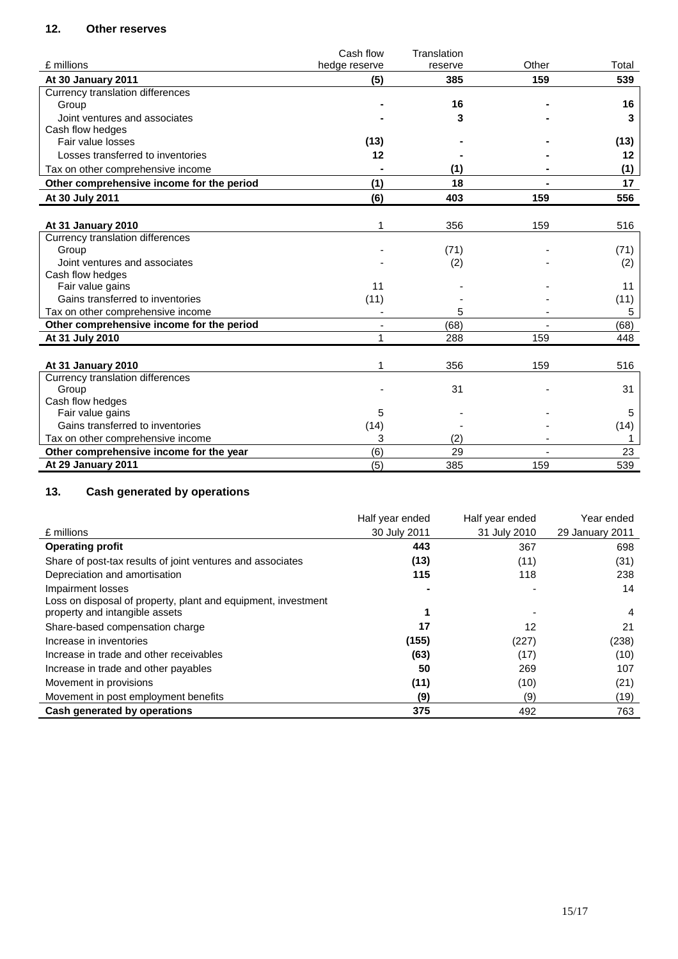## **12. Other reserves**

|                                           | Cash flow     | Translation |       |         |
|-------------------------------------------|---------------|-------------|-------|---------|
| £ millions                                | hedge reserve | reserve     | Other | Total   |
| At 30 January 2011                        | (5)           | 385         | 159   | 539     |
| Currency translation differences          |               |             |       |         |
| Group                                     |               | 16          |       | 16      |
| Joint ventures and associates             |               | 3           |       | 3       |
| Cash flow hedges                          |               |             |       |         |
| Fair value losses                         | (13)          |             |       | (13)    |
| Losses transferred to inventories         | 12            |             |       | $12 \,$ |
| Tax on other comprehensive income         |               | (1)         |       | (1)     |
| Other comprehensive income for the period | (1)           | 18          |       | 17      |
| At 30 July 2011                           | (6)           | 403         | 159   | 556     |
|                                           |               |             |       |         |
| At 31 January 2010                        | 1             | 356         | 159   | 516     |
| Currency translation differences          |               |             |       |         |
| Group                                     |               | (71)        |       | (71)    |
| Joint ventures and associates             |               | (2)         |       | (2)     |
| Cash flow hedges                          |               |             |       |         |
| Fair value gains                          | 11            |             |       | 11      |
| Gains transferred to inventories          | (11)          |             |       | (11)    |
| Tax on other comprehensive income         |               | 5           |       | 5       |
| Other comprehensive income for the period |               | (68)        |       | (68)    |
| At 31 July 2010                           |               | 288         | 159   | 448     |
|                                           |               |             |       |         |
| At 31 January 2010                        | 1             | 356         | 159   | 516     |
| Currency translation differences          |               |             |       |         |
| Group                                     |               | 31          |       | 31      |
| Cash flow hedges                          |               |             |       |         |
| Fair value gains                          | 5             |             |       | 5       |
| Gains transferred to inventories          | (14)          |             |       | (14)    |
| Tax on other comprehensive income         | 3             | (2)         |       |         |
| Other comprehensive income for the year   | (6)           | 29          |       | 23      |
| At 29 January 2011                        | (5)           | 385         | 159   | 539     |

## **13. Cash generated by operations**

|                                                               | Half year ended | Half year ended | Year ended      |
|---------------------------------------------------------------|-----------------|-----------------|-----------------|
| £ millions                                                    | 30 July 2011    | 31 July 2010    | 29 January 2011 |
| <b>Operating profit</b>                                       | 443             | 367             | 698             |
| Share of post-tax results of joint ventures and associates    | (13)            | (11)            | (31)            |
| Depreciation and amortisation                                 | 115             | 118             | 238             |
| Impairment losses                                             |                 |                 | 14              |
| Loss on disposal of property, plant and equipment, investment |                 |                 |                 |
| property and intangible assets                                |                 |                 | 4               |
| Share-based compensation charge                               | 17              | 12              | 21              |
| Increase in inventories                                       | (155)           | (227)           | (238)           |
| Increase in trade and other receivables                       | (63)            | (17)            | (10)            |
| Increase in trade and other payables                          | 50              | 269             | 107             |
| Movement in provisions                                        | (11)            | (10)            | (21)            |
| Movement in post employment benefits                          | (9)             | (9)             | (19)            |
| Cash generated by operations                                  | 375             | 492             | 763             |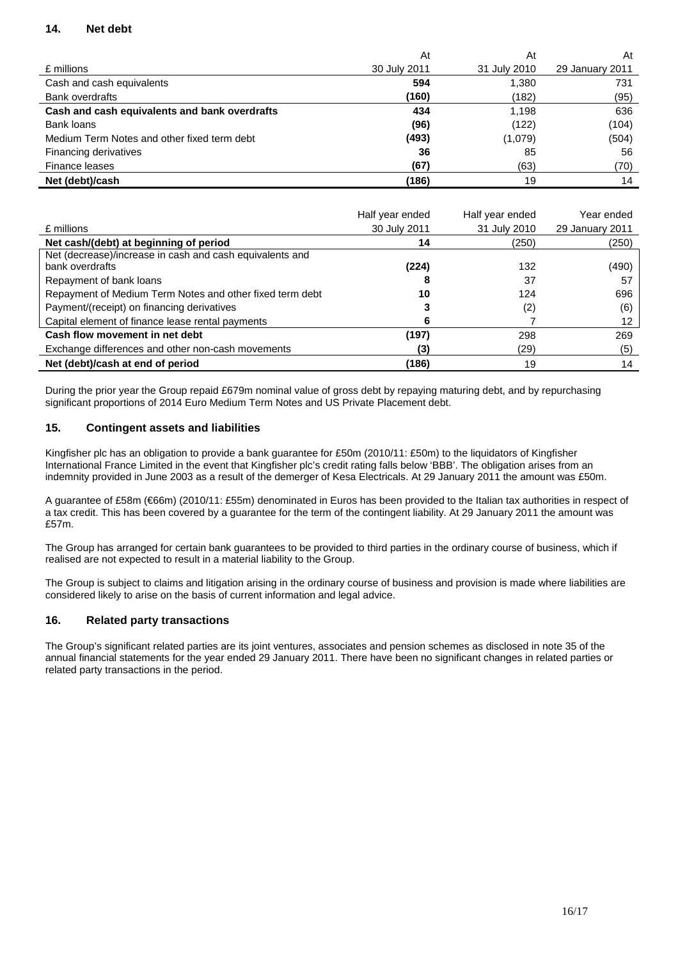## **14. Net debt**

|                                               | At           | At           | At              |
|-----------------------------------------------|--------------|--------------|-----------------|
| £ millions                                    | 30 July 2011 | 31 July 2010 | 29 January 2011 |
| Cash and cash equivalents                     | 594          | 1,380        | 731             |
| <b>Bank overdrafts</b>                        | (160)        | (182)        | (95)            |
| Cash and cash equivalents and bank overdrafts | 434          | 1.198        | 636             |
| Bank loans                                    | (96)         | (122)        | (104)           |
| Medium Term Notes and other fixed term debt   | (493)        | (1,079)      | (504)           |
| Financing derivatives                         | 36           | 85           | 56              |
| Finance leases                                | (67)         | (63)         | (70)            |
| Net (debt)/cash                               | (186)        | 19           | 14              |

|                                                          | Half year ended | Half year ended | Year ended      |
|----------------------------------------------------------|-----------------|-----------------|-----------------|
| £ millions                                               | 30 July 2011    | 31 July 2010    | 29 January 2011 |
| Net cash/(debt) at beginning of period                   | 14              | (250)           | (250)           |
| Net (decrease)/increase in cash and cash equivalents and |                 |                 |                 |
| bank overdrafts                                          | (224)           | 132             | (490)           |
| Repayment of bank loans                                  | 8               | 37              | 57              |
| Repayment of Medium Term Notes and other fixed term debt | 10              | 124             | 696             |
| Payment/(receipt) on financing derivatives               |                 | (2)             | (6)             |
| Capital element of finance lease rental payments         | 6               |                 | 12              |
| Cash flow movement in net debt                           | (197)           | 298             | 269             |
| Exchange differences and other non-cash movements        | (3)             | (29)            | (5)             |
| Net (debt)/cash at end of period                         | (186)           | 19              | 14              |

During the prior year the Group repaid £679m nominal value of gross debt by repaying maturing debt, and by repurchasing significant proportions of 2014 Euro Medium Term Notes and US Private Placement debt.

## **15. Contingent assets and liabilities**

Kingfisher plc has an obligation to provide a bank guarantee for £50m (2010/11: £50m) to the liquidators of Kingfisher International France Limited in the event that Kingfisher plc's credit rating falls below 'BBB'. The obligation arises from an indemnity provided in June 2003 as a result of the demerger of Kesa Electricals. At 29 January 2011 the amount was £50m.

A guarantee of £58m (€66m) (2010/11: £55m) denominated in Euros has been provided to the Italian tax authorities in respect of a tax credit. This has been covered by a guarantee for the term of the contingent liability. At 29 January 2011 the amount was £57m.

The Group has arranged for certain bank guarantees to be provided to third parties in the ordinary course of business, which if realised are not expected to result in a material liability to the Group.

The Group is subject to claims and litigation arising in the ordinary course of business and provision is made where liabilities are considered likely to arise on the basis of current information and legal advice.

## **16. Related party transactions**

The Group's significant related parties are its joint ventures, associates and pension schemes as disclosed in note 35 of the annual financial statements for the year ended 29 January 2011. There have been no significant changes in related parties or related party transactions in the period.